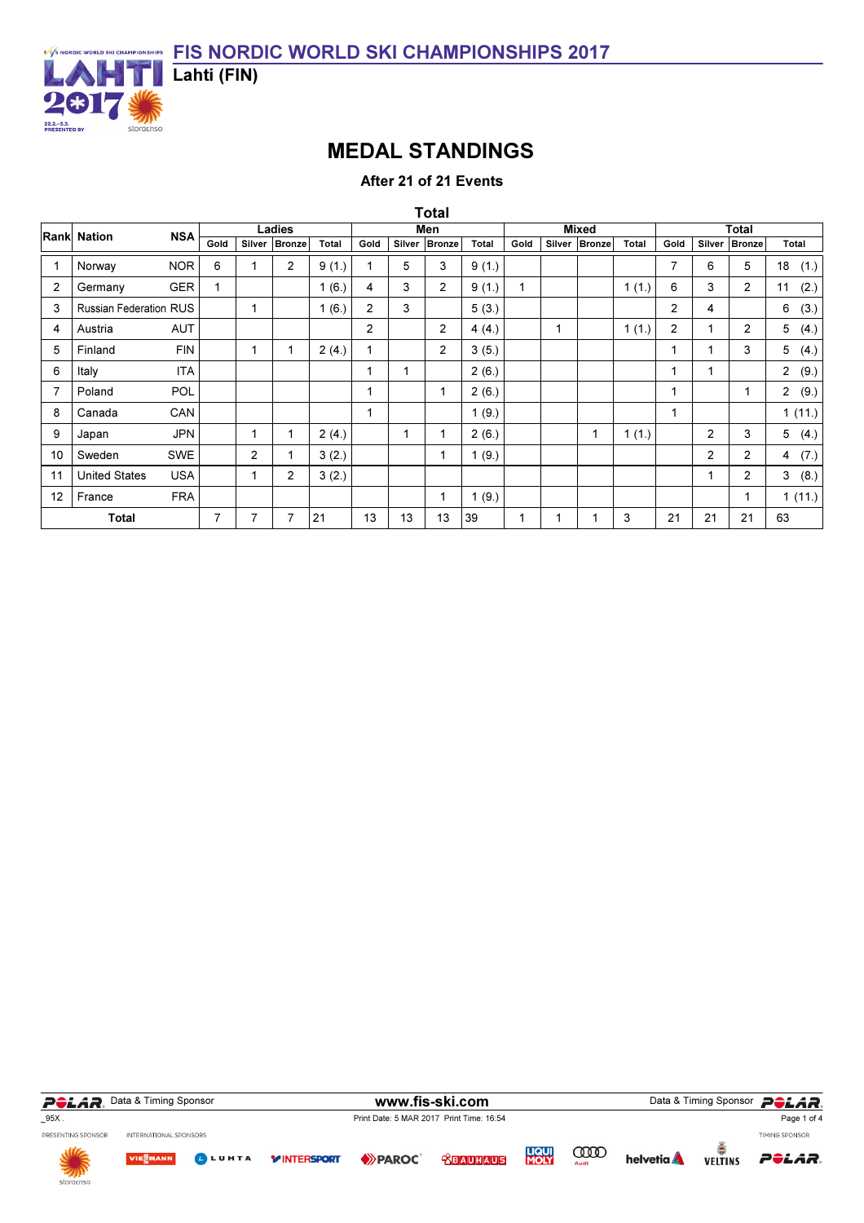

## MEDAL STANDINGS

After 21 of 21 Events

|                | Rank Nation                   | <b>NSA</b> |                |                | Ladies          |       |                |    | Men           |       |      |   | <b>Mixed</b>  |       |                |                | Total          |                        |
|----------------|-------------------------------|------------|----------------|----------------|-----------------|-------|----------------|----|---------------|-------|------|---|---------------|-------|----------------|----------------|----------------|------------------------|
|                |                               |            | Gold           |                | Silver   Bronze | Total | Gold           |    | Silver Bronze | Total | Gold |   | Silver Bronze | Total | Gold           |                | Silver Bronze  | Total                  |
|                | Norway                        | <b>NOR</b> | 6              | 1              | $\overline{2}$  | 9(1.) | 1              | 5  | 3             | 9(1.) |      |   |               |       | $\overline{7}$ | 6              | 5              | 18(1.)                 |
| $\overline{2}$ | Germany                       | <b>GER</b> |                |                |                 | 1(6.) | 4              | 3  | 2             | 9(1.) | 1    |   |               | 1(1.) | 6              | 3              | 2              | (2.)<br>11             |
| 3              | <b>Russian Federation RUS</b> |            |                | $\mathbf{1}$   |                 | 1(6.) | $\overline{2}$ | 3  |               | 5(3.) |      |   |               |       | 2              | 4              |                | (3.)<br>6              |
| 4              | Austria                       | AUT        |                |                |                 |       | $\mathbf{2}$   |    | 2             | 4(4.) |      | 1 |               | 1(1.) | $\overline{2}$ | 1              | 2              | 5(4.)                  |
| 5              | Finland                       | <b>FIN</b> |                | $\mathbf{1}$   |                 | 2(4.) | 1              |    | 2             | 3(5.) |      |   |               |       | 1              | 1              | 3              | 5(4.)                  |
| 6              | Italy                         | <b>ITA</b> |                |                |                 |       | 1              |    |               | 2(6.) |      |   |               |       | 1              | $\mathbf{1}$   |                | $\overline{2}$<br>(9.) |
|                | Poland                        | <b>POL</b> |                |                |                 |       | 1              |    | $\mathbf{1}$  | 2(6.) |      |   |               |       | 1              |                | 1              | 2(9.)                  |
| 8              | Canada                        | CAN        |                |                |                 |       | 1              |    |               | 1(9.) |      |   |               |       | 1              |                |                | 1(11.)                 |
| 9              | Japan                         | JPN        |                | $\mathbf{1}$   |                 | 2(4.) |                | 1  | 1             | 2(6.) |      |   | 1             | 1(1.) |                | 2              | 3              | 5(4.)                  |
| 10             | Sweden                        | SWE        |                | $\overline{2}$ |                 | 3(2.) |                |    | $\mathbf{1}$  | 1(9.) |      |   |               |       |                | $\overline{2}$ | $\overline{2}$ | 4 $(7.)$               |
| 11             | <b>United States</b>          | <b>USA</b> |                | $\mathbf{1}$   | $\overline{2}$  | 3(2.) |                |    |               |       |      |   |               |       |                | $\mathbf{1}$   | 2              | 3(8.)                  |
| 12             | France                        | <b>FRA</b> |                |                |                 |       |                |    | $\mathbf{1}$  | 1(9.) |      |   |               |       |                |                | 1              | 1(11.)                 |
|                | <b>Total</b>                  |            | $\overline{7}$ | $\overline{7}$ | 7               | 21    | 13             | 13 | 13            | 39    | 1    | 1 |               | 3     | 21             | 21             | 21             | 63                     |

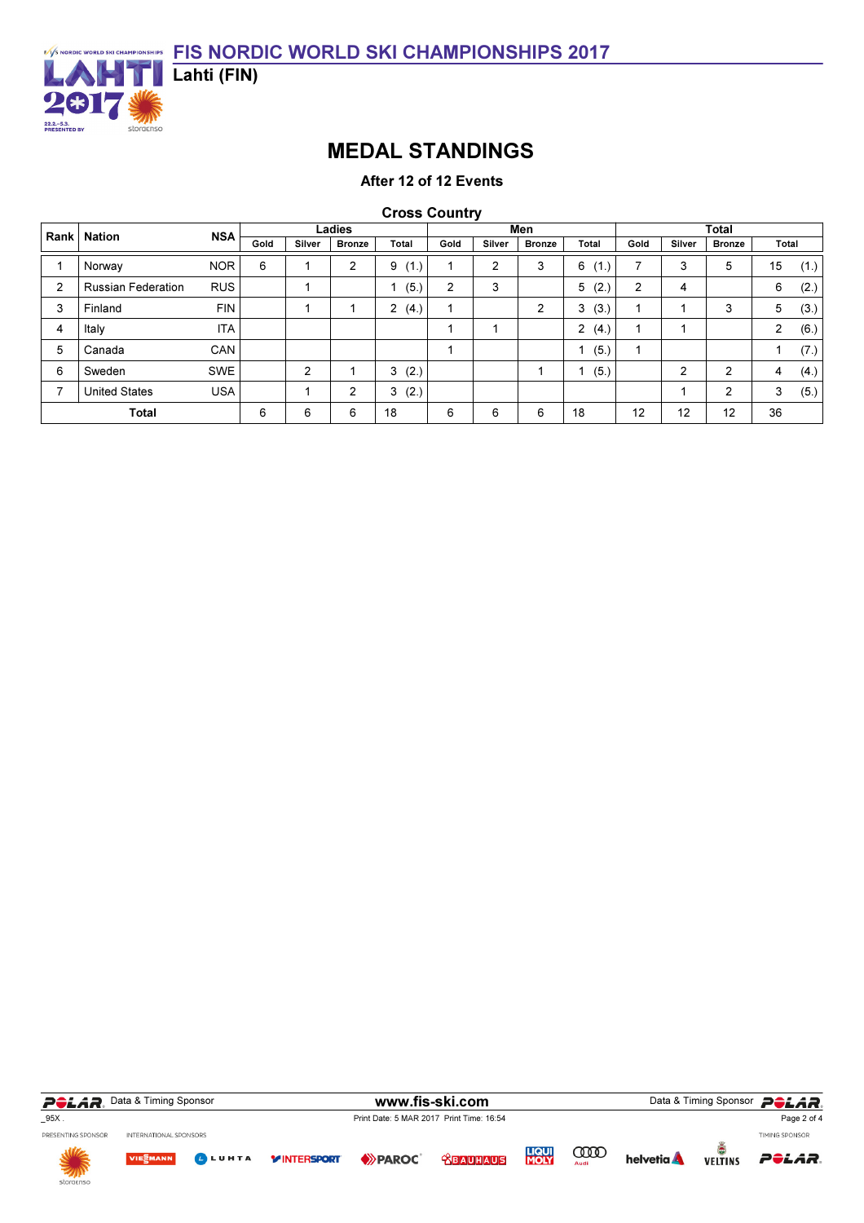

## MEDAL STANDINGS

After 12 of 12 Events

Cross Country

| Rank | <b>Nation</b>             | <b>NSA</b> |      |                | Ladies         |           |      |                | Men            |                        |                          |        | <b>Total</b>   |                |      |
|------|---------------------------|------------|------|----------------|----------------|-----------|------|----------------|----------------|------------------------|--------------------------|--------|----------------|----------------|------|
|      |                           |            | Gold | Silver         | <b>Bronze</b>  | Total     | Gold | Silver         | <b>Bronze</b>  | Total                  | Gold                     | Silver | <b>Bronze</b>  | Total          |      |
|      | Norway                    | <b>NOR</b> | 6    |                | $\overline{c}$ | (1.)<br>9 |      | $\overline{2}$ | 3              | 6 (<br>.               | $\overline{\phantom{a}}$ | 3      | 5              | 15             | (1.) |
| 2    | <b>Russian Federation</b> | <b>RUS</b> |      |                |                | (5.)      | 2    | 3              |                | 5<br>(2.)              | 2                        | 4      |                | 6              | (2.) |
| 3    | Finland                   | <b>FIN</b> |      |                |                | 2<br>(4.) |      |                | $\overline{2}$ | 3(3)                   |                          |        | 3              | 5              | (3.) |
| 4    | Italy                     | <b>ITA</b> |      |                |                |           |      |                |                | $\overline{2}$<br>(4.) |                          |        |                | $\overline{2}$ | (6.) |
| 5    | Canada                    | <b>CAN</b> |      |                |                |           |      |                |                | (5.)                   |                          |        |                |                | (7.) |
| 6    | Sweden                    | <b>SWE</b> |      | $\overline{2}$ |                | (2.)<br>3 |      |                |                | (5.)                   |                          | 2      | $\overline{2}$ | 4              | (4.) |
| ⇁    | <b>United States</b>      | <b>USA</b> |      |                | $\overline{2}$ | (2.)<br>3 |      |                |                |                        |                          |        | 2              | 3              | (5.) |
|      | <b>Total</b>              |            | 6    | 6              | 6              | 18        | 6    | 6              | 6              | 18                     | 12                       | 12     | 12             | 36             |      |

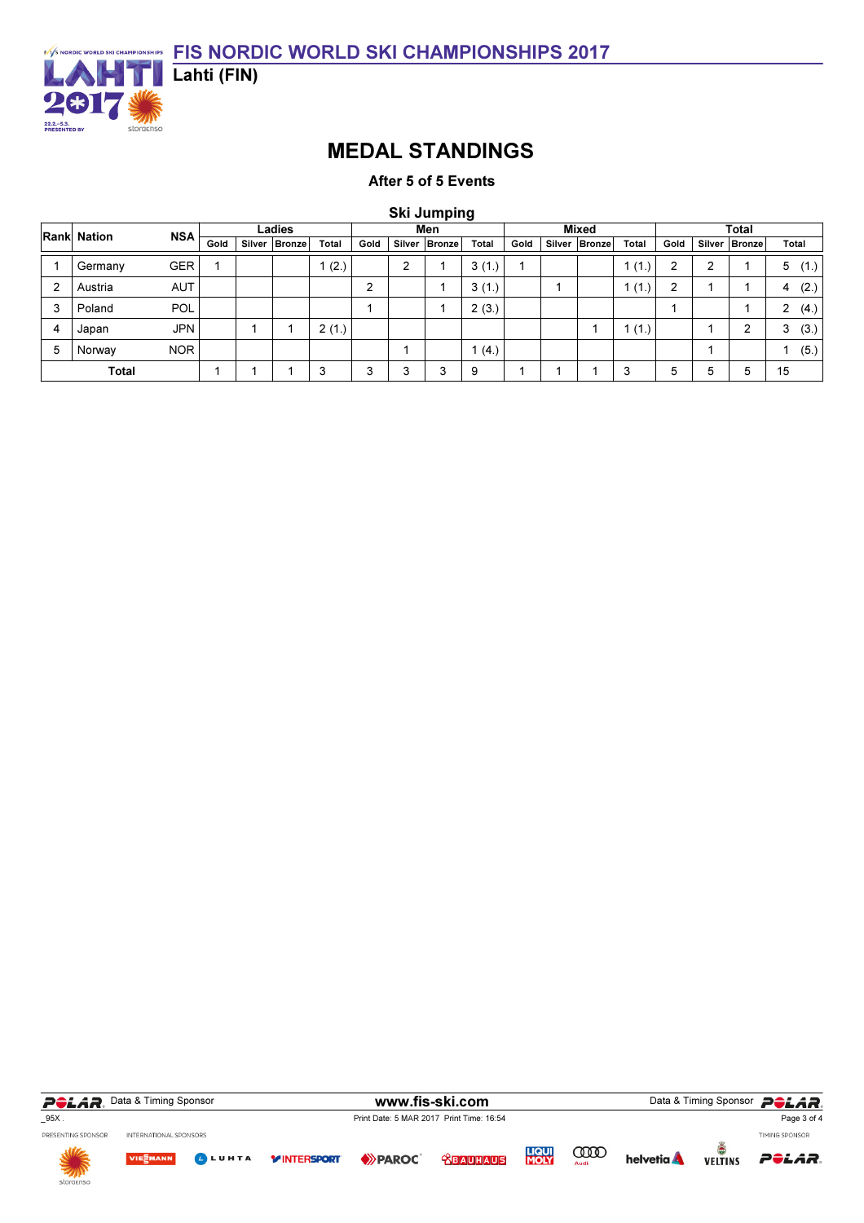

## MEDAL STANDINGS

After 5 of 5 Events

Ski Jumping

|   | Rank Nation  | <b>NSA</b> |      | Ladies          |              |                |   | Men             |       |      | <b>Mixed</b>    |       | <b>Total</b> |   |                 |           |
|---|--------------|------------|------|-----------------|--------------|----------------|---|-----------------|-------|------|-----------------|-------|--------------|---|-----------------|-----------|
|   |              |            | Gold | Silver   Bronze | <b>Total</b> | Gold           |   | Silver   Bronze | Total | Gold | Silver   Bronze | Total | Gold         |   | Silver   Bronze | Total     |
|   | Germany      | GER        |      |                 | (2.)         |                | ົ |                 | 3(1.) |      |                 | (1.)  | 2            | ົ |                 | (1.)<br>5 |
| 2 | Austria      | <b>AUT</b> |      |                 |              | 2              |   |                 | 3(1.) |      |                 | (1.)  | 2            |   |                 | (2.)<br>4 |
| 3 | Poland       | <b>POL</b> |      |                 |              |                |   |                 | 2(3.) |      |                 |       |              |   |                 | (4.)<br>2 |
|   | Japan        | <b>JPN</b> |      |                 | 2(1.)        |                |   |                 |       |      |                 | 1(1)  |              |   | 2               | (3.)<br>3 |
| 5 | Norway       | <b>NOR</b> |      |                 |              |                |   |                 | (4.)  |      |                 |       |              |   |                 | (5.)      |
|   | <b>Total</b> |            |      |                 | ິ            | <u>。</u><br>л. | ◠ | 3               | 9     |      |                 | 3     | 5            | 5 | 5               | 15        |

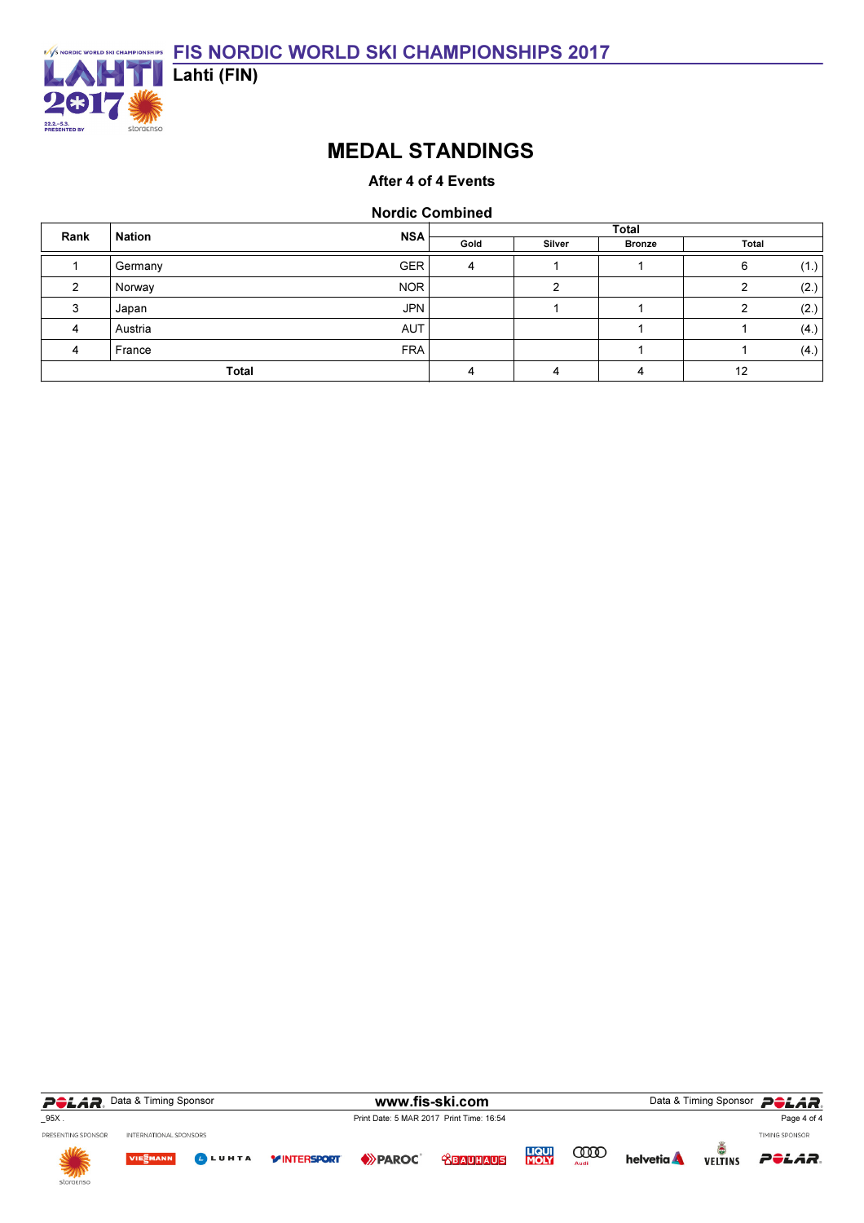

## MEDAL STANDINGS

### After 4 of 4 Events

#### Nordic Combined

| Rank | <b>Nation</b> | <b>NSA</b> | <b>Total</b> |        |               |           |  |  |  |  |
|------|---------------|------------|--------------|--------|---------------|-----------|--|--|--|--|
|      |               |            | Gold         | Silver | <b>Bronze</b> | Total     |  |  |  |  |
|      | Germany       | <b>GER</b> |              |        |               | (1.)<br>6 |  |  |  |  |
|      | Norway        | <b>NOR</b> |              |        |               | (2.)      |  |  |  |  |
|      | Japan         | <b>JPN</b> |              |        |               | (2.)      |  |  |  |  |
|      | Austria       | <b>AUT</b> |              |        |               | (4.)      |  |  |  |  |
|      | France        | <b>FRA</b> |              |        |               | (4.)      |  |  |  |  |
|      | <b>Total</b>  |            |              |        | 12            |           |  |  |  |  |

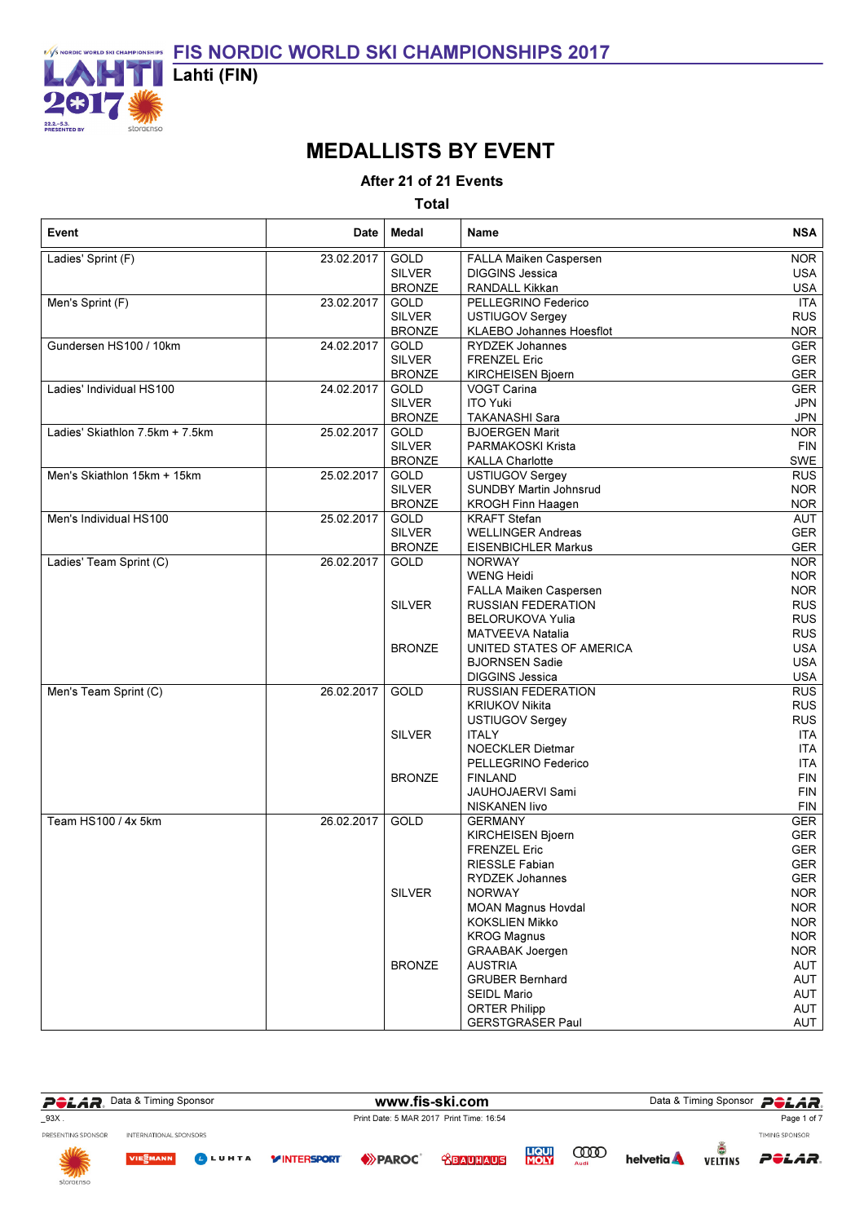

# MEDALLISTS BY EVENT

After 21 of 21 Events

| Event                           | Date       | Medal         | Name                          | <b>NSA</b> |
|---------------------------------|------------|---------------|-------------------------------|------------|
| Ladies' Sprint (F)              | 23.02.2017 | <b>GOLD</b>   | FALLA Maiken Caspersen        | <b>NOR</b> |
|                                 |            | <b>SILVER</b> | <b>DIGGINS Jessica</b>        | <b>USA</b> |
|                                 |            | <b>BRONZE</b> | RANDALL Kikkan                | <b>USA</b> |
| Men's Sprint (F)                | 23.02.2017 | GOLD          | PELLEGRINO Federico           | <b>ITA</b> |
|                                 |            | <b>SILVER</b> | <b>USTIUGOV Sergey</b>        | <b>RUS</b> |
|                                 |            | <b>BRONZE</b> | KLAEBO Johannes Hoesflot      | <b>NOR</b> |
| Gundersen HS100 / 10km          | 24.02.2017 | GOLD          | <b>RYDZEK Johannes</b>        | GER        |
|                                 |            | <b>SILVER</b> | <b>FRENZEL Eric</b>           | GER        |
|                                 |            | <b>BRONZE</b> | KIRCHEISEN Bjoern             | <b>GER</b> |
| Ladies' Individual HS100        | 24.02.2017 | GOLD          | VOGT Carina                   | <b>GER</b> |
|                                 |            | <b>SILVER</b> | <b>ITO Yuki</b>               | <b>JPN</b> |
|                                 |            | <b>BRONZE</b> | <b>TAKANASHI Sara</b>         | <b>JPN</b> |
| Ladies' Skiathlon 7.5km + 7.5km | 25.02.2017 | GOLD          | <b>BJOERGEN Marit</b>         | <b>NOR</b> |
|                                 |            |               |                               |            |
|                                 |            | <b>SILVER</b> | PARMAKOSKI Krista             | <b>FIN</b> |
|                                 |            | <b>BRONZE</b> | <b>KALLA Charlotte</b>        | SWE        |
| Men's Skiathlon 15km + 15km     | 25.02.2017 | GOLD          | USTIUGOV Sergey               | RUS        |
|                                 |            | <b>SILVER</b> | <b>SUNDBY Martin Johnsrud</b> | <b>NOR</b> |
|                                 |            | <b>BRONZE</b> | <b>KROGH Finn Haagen</b>      | <b>NOR</b> |
| Men's Individual HS100          | 25.02.2017 | GOLD          | <b>KRAFT Stefan</b>           | <b>AUT</b> |
|                                 |            | <b>SILVER</b> | <b>WELLINGER Andreas</b>      | GER        |
|                                 |            | <b>BRONZE</b> | <b>EISENBICHLER Markus</b>    | GER        |
| Ladies' Team Sprint (C)         | 26.02.2017 | GOLD          | <b>NORWAY</b>                 | <b>NOR</b> |
|                                 |            |               | <b>WENG Heidi</b>             | <b>NOR</b> |
|                                 |            |               | FALLA Maiken Caspersen        | <b>NOR</b> |
|                                 |            | <b>SILVER</b> | <b>RUSSIAN FEDERATION</b>     | <b>RUS</b> |
|                                 |            |               | <b>BELORUKOVA Yulia</b>       | <b>RUS</b> |
|                                 |            |               | <b>MATVEEVA Natalia</b>       | <b>RUS</b> |
|                                 |            | <b>BRONZE</b> | UNITED STATES OF AMERICA      | <b>USA</b> |
|                                 |            |               | <b>BJORNSEN Sadie</b>         | <b>USA</b> |
|                                 |            |               | <b>DIGGINS Jessica</b>        | <b>USA</b> |
| Men's Team Sprint (C)           | 26.02.2017 | <b>GOLD</b>   | <b>RUSSIAN FEDERATION</b>     | <b>RUS</b> |
|                                 |            |               | <b>KRIUKOV Nikita</b>         | <b>RUS</b> |
|                                 |            |               | <b>USTIUGOV Sergey</b>        | <b>RUS</b> |
|                                 |            | <b>SILVER</b> | <b>ITALY</b>                  | ITA        |
|                                 |            |               | <b>NOECKLER Dietmar</b>       | <b>ITA</b> |
|                                 |            |               | PELLEGRINO Federico           | <b>ITA</b> |
|                                 |            | <b>BRONZE</b> | <b>FINLAND</b>                | <b>FIN</b> |
|                                 |            |               | <b>JAUHOJAERVI Sami</b>       | <b>FIN</b> |
|                                 |            |               | NISKANEN livo                 | <b>FIN</b> |
| Team HS100 / 4x 5km             | 26.02.2017 | GOLD          | <b>GERMANY</b>                | <b>GER</b> |
|                                 |            |               | KIRCHEISEN Bjoern             | GER        |
|                                 |            |               | <b>FRENZEL Eric</b>           | <b>GER</b> |
|                                 |            |               |                               |            |
|                                 |            |               | RIESSLE Fabian                | GER        |
|                                 |            |               | RYDZEK Johannes               | <b>GER</b> |
|                                 |            | <b>SILVER</b> | <b>NORWAY</b>                 | <b>NOR</b> |
|                                 |            |               | <b>MOAN Magnus Hovdal</b>     | <b>NOR</b> |
|                                 |            |               | <b>KOKSLIEN Mikko</b>         | <b>NOR</b> |
|                                 |            |               | <b>KROG Magnus</b>            | <b>NOR</b> |
|                                 |            |               | <b>GRAABAK Joergen</b>        | <b>NOR</b> |
|                                 |            | <b>BRONZE</b> | <b>AUSTRIA</b>                | AUT        |
|                                 |            |               | <b>GRUBER Bernhard</b>        | AUT        |
|                                 |            |               | <b>SEIDL Mario</b>            | AUT        |
|                                 |            |               | <b>ORTER Philipp</b>          | AUT        |
|                                 |            |               | <b>GERSTGRASER Paul</b>       | AUT        |

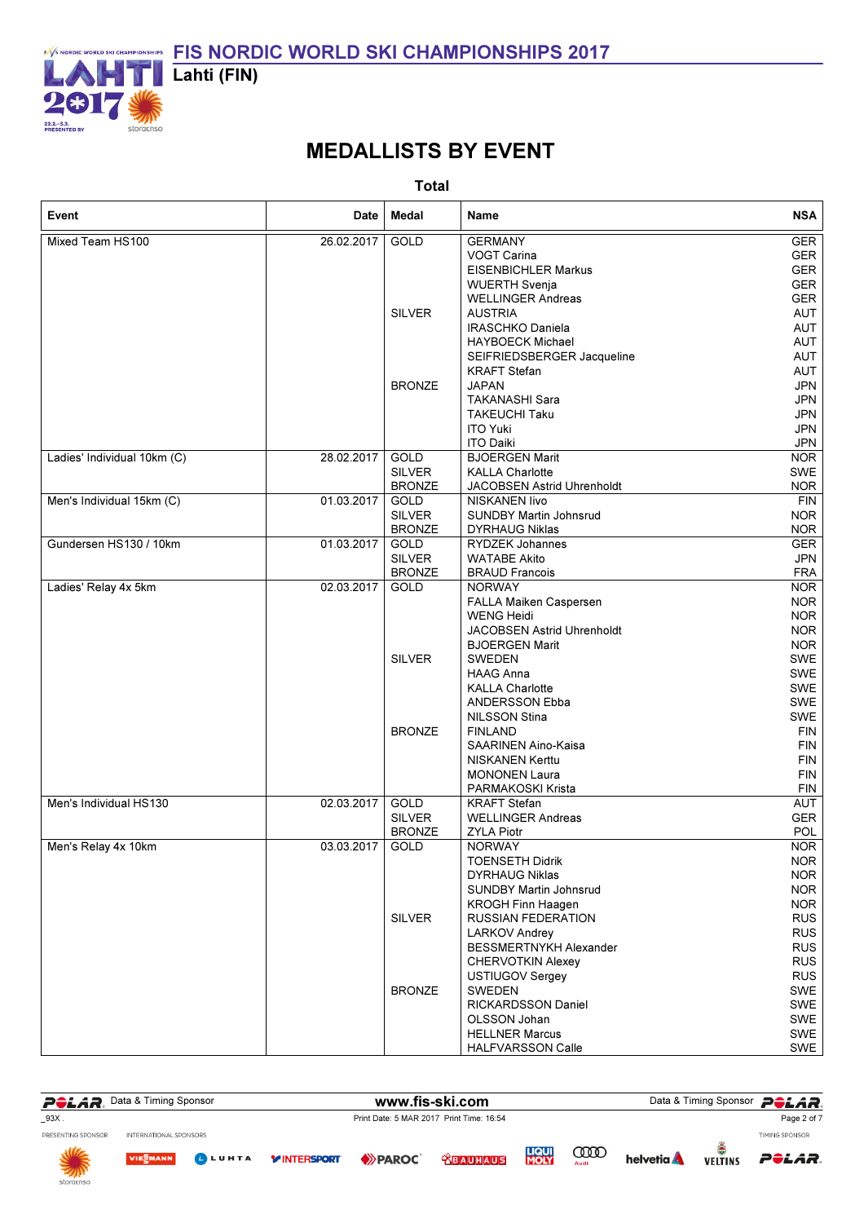

# MEDALLISTS BY EVENT

| Event                       | Date       | Medal                        | Name                                   | <b>NSA</b>               |
|-----------------------------|------------|------------------------------|----------------------------------------|--------------------------|
| Mixed Team HS100            | 26.02.2017 | GOLD                         | <b>GERMANY</b><br>VOGT Carina          | GER<br><b>GER</b>        |
|                             |            |                              | <b>EISENBICHLER Markus</b>             | GER                      |
|                             |            |                              | <b>WUERTH Svenja</b>                   | <b>GER</b>               |
|                             |            |                              | <b>WELLINGER Andreas</b>               | GER                      |
|                             |            | <b>SILVER</b>                | <b>AUSTRIA</b>                         | AUT                      |
|                             |            |                              | <b>IRASCHKO Daniela</b>                | AUT                      |
|                             |            |                              | <b>HAYBOECK Michael</b>                | AUT                      |
|                             |            |                              | SEIFRIEDSBERGER Jacqueline             | AUT                      |
|                             |            |                              | <b>KRAFT Stefan</b>                    | AUT                      |
|                             |            | <b>BRONZE</b>                | <b>JAPAN</b>                           | <b>JPN</b>               |
|                             |            |                              | TAKANASHI Sara                         | <b>JPN</b>               |
|                             |            |                              | TAKEUCHI Taku                          | <b>JPN</b>               |
|                             |            |                              | <b>ITO Yuki</b>                        | <b>JPN</b>               |
|                             |            |                              | <b>ITO Daiki</b>                       | <b>JPN</b>               |
| Ladies' Individual 10km (C) | 28.02.2017 | <b>GOLD</b>                  | <b>BJOERGEN Marit</b>                  | <b>NOR</b>               |
|                             |            | <b>SILVER</b>                | <b>KALLA Charlotte</b>                 | <b>SWE</b>               |
|                             |            | <b>BRONZE</b>                | JACOBSEN Astrid Uhrenholdt             | <b>NOR</b>               |
| Men's Individual 15km (C)   | 01.03.2017 | <b>GOLD</b>                  | NISKANEN livo                          | FIN                      |
|                             |            | <b>SILVER</b>                | <b>SUNDBY Martin Johnsrud</b>          | <b>NOR</b>               |
|                             |            | <b>BRONZE</b>                | <b>DYRHAUG Niklas</b>                  | <b>NOR</b>               |
| Gundersen HS130 / 10km      | 01.03.2017 | GOLD                         | <b>RYDZEK Johannes</b>                 | <b>GER</b>               |
|                             |            | <b>SILVER</b>                | <b>WATABE Akito</b>                    | <b>JPN</b>               |
|                             | 02.03.2017 | <b>BRONZE</b><br><b>GOLD</b> | <b>BRAUD Francois</b><br><b>NORWAY</b> | <b>FRA</b><br><b>NOR</b> |
| Ladies' Relay 4x 5km        |            |                              |                                        |                          |
|                             |            |                              | FALLA Maiken Caspersen<br>WENG Heidi   | <b>NOR</b><br><b>NOR</b> |
|                             |            |                              | JACOBSEN Astrid Uhrenholdt             | <b>NOR</b>               |
|                             |            |                              | <b>BJOERGEN Marit</b>                  | <b>NOR</b>               |
|                             |            | <b>SILVER</b>                | <b>SWEDEN</b>                          | SWE                      |
|                             |            |                              | HAAG Anna                              | SWE                      |
|                             |            |                              | <b>KALLA Charlotte</b>                 | SWE                      |
|                             |            |                              | ANDERSSON Ebba                         | SWE                      |
|                             |            |                              | <b>NILSSON Stina</b>                   | SWE                      |
|                             |            | <b>BRONZE</b>                | <b>FINLAND</b>                         | <b>FIN</b>               |
|                             |            |                              | SAARINEN Aino-Kaisa                    | <b>FIN</b>               |
|                             |            |                              | NISKANEN Kerttu                        | <b>FIN</b>               |
|                             |            |                              | <b>MONONEN Laura</b>                   | <b>FIN</b>               |
|                             |            |                              | PARMAKOSKI Krista                      | <b>FIN</b>               |
| Men's Individual HS130      | 02.03.2017 | GOLD                         | <b>KRAFT</b> Stefan                    | AUT                      |
|                             |            | <b>SILVER</b>                | <b>WELLINGER Andreas</b>               | <b>GER</b>               |
|                             |            | <b>BRONZE</b>                | <b>ZYLA Piotr</b>                      | <b>POL</b>               |
| Men's Relay 4x 10km         | 03.03.2017 | GOLD                         | <b>NORWAY</b>                          | <b>NOR</b>               |
|                             |            |                              | <b>TOENSETH Didrik</b>                 | <b>NOR</b>               |
|                             |            |                              | <b>DYRHAUG Niklas</b>                  | <b>NOR</b>               |
|                             |            |                              | <b>SUNDBY Martin Johnsrud</b>          | <b>NOR</b>               |
|                             |            |                              | <b>KROGH Finn Haagen</b>               | <b>NOR</b>               |
|                             |            | <b>SILVER</b>                | RUSSIAN FEDERATION                     | <b>RUS</b>               |
|                             |            |                              | <b>LARKOV Andrey</b>                   | <b>RUS</b>               |
|                             |            |                              | BESSMERTNYKH Alexander                 | <b>RUS</b>               |
|                             |            |                              | <b>CHERVOTKIN Alexey</b>               | <b>RUS</b>               |
|                             |            |                              | <b>USTIUGOV Sergey</b>                 | <b>RUS</b>               |
|                             |            | <b>BRONZE</b>                | SWEDEN                                 | SWE                      |
|                             |            |                              | RICKARDSSON Daniel                     | SWE                      |
|                             |            |                              | OLSSON Johan                           | SWE                      |
|                             |            |                              | <b>HELLNER Marcus</b>                  | SWE                      |
|                             |            |                              | HALFVARSSON Calle                      | <b>SWE</b>               |

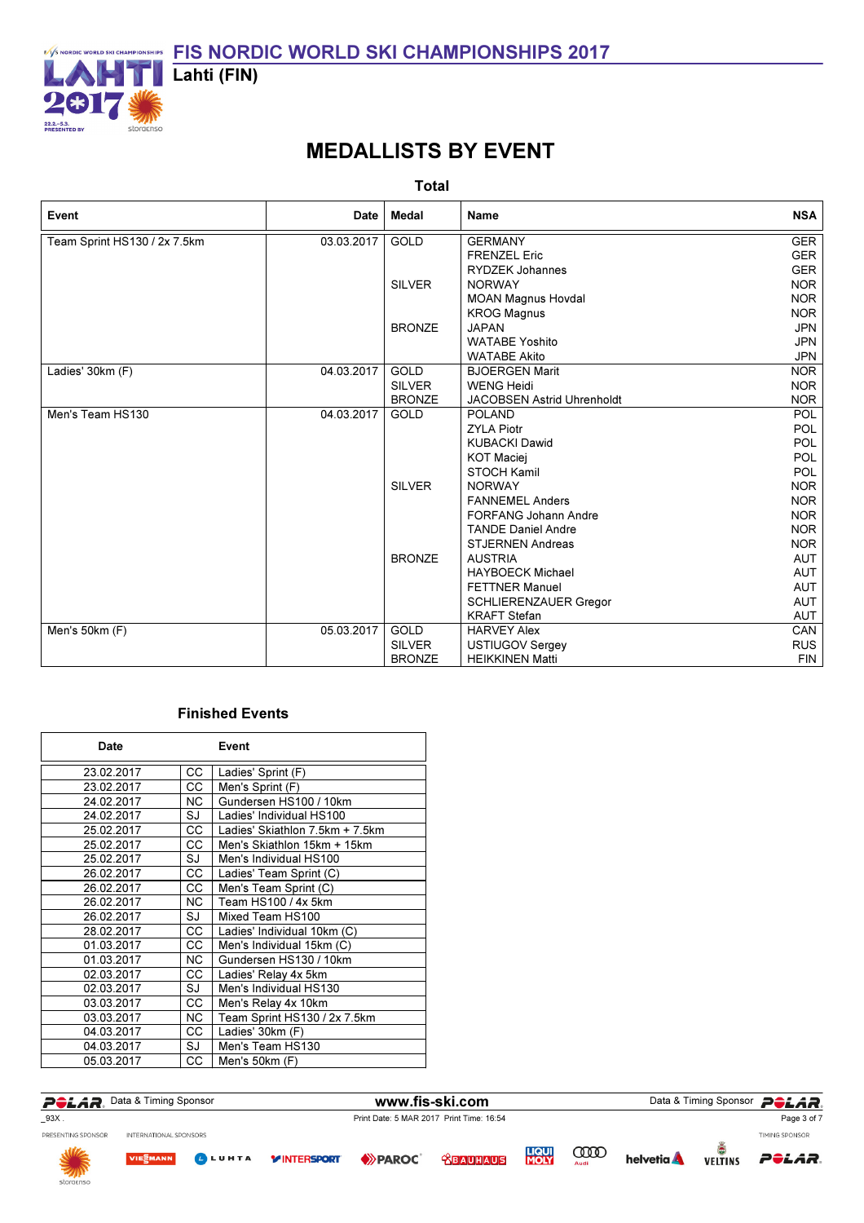

# MEDALLISTS BY EVENT

Total

| Event                        | Date       | Medal         | Name                        | <b>NSA</b> |
|------------------------------|------------|---------------|-----------------------------|------------|
| Team Sprint HS130 / 2x 7.5km | 03.03.2017 | GOLD          | <b>GERMANY</b>              | <b>GER</b> |
|                              |            |               | <b>FRENZEL Eric</b>         | <b>GER</b> |
|                              |            |               | <b>RYDZEK Johannes</b>      | <b>GER</b> |
|                              |            | <b>SILVER</b> | <b>NORWAY</b>               | <b>NOR</b> |
|                              |            |               | <b>MOAN Magnus Hovdal</b>   | <b>NOR</b> |
|                              |            |               | <b>KROG Magnus</b>          | <b>NOR</b> |
|                              |            | <b>BRONZE</b> | <b>JAPAN</b>                | <b>JPN</b> |
|                              |            |               | <b>WATABE Yoshito</b>       | <b>JPN</b> |
|                              |            |               | <b>WATABE Akito</b>         | <b>JPN</b> |
| Ladies' 30km (F)             | 04.03.2017 | <b>GOLD</b>   | <b>BJOERGEN Marit</b>       | <b>NOR</b> |
|                              |            | <b>SILVER</b> | <b>WENG Heidi</b>           | NOR.       |
|                              |            | <b>BRONZE</b> | JACOBSEN Astrid Uhrenholdt  | <b>NOR</b> |
| Men's Team HS130             | 04.03.2017 | <b>GOLD</b>   | <b>POLAND</b>               | <b>POL</b> |
|                              |            |               | <b>ZYLA Piotr</b>           | <b>POL</b> |
|                              |            |               | <b>KUBACKI Dawid</b>        | <b>POL</b> |
|                              |            |               | <b>KOT Maciej</b>           | POL        |
|                              |            |               | <b>STOCH Kamil</b>          | <b>POL</b> |
|                              |            | <b>SILVER</b> | <b>NORWAY</b>               | <b>NOR</b> |
|                              |            |               | <b>FANNEMEL Anders</b>      | <b>NOR</b> |
|                              |            |               | <b>FORFANG Johann Andre</b> | <b>NOR</b> |
|                              |            |               | <b>TANDE Daniel Andre</b>   | <b>NOR</b> |
|                              |            |               | <b>STJERNEN Andreas</b>     | <b>NOR</b> |
|                              |            | <b>BRONZE</b> | <b>AUSTRIA</b>              | AUT        |
|                              |            |               | <b>HAYBOECK Michael</b>     | AUT        |
|                              |            |               | <b>FETTNER Manuel</b>       | AUT        |
|                              |            |               | SCHLIERENZAUER Gregor       | AUT        |
|                              |            |               | <b>KRAFT Stefan</b>         | AUT        |
| Men's $50km$ (F)             | 05.03.2017 | <b>GOLD</b>   | <b>HARVEY Alex</b>          | CAN        |
|                              |            | <b>SILVER</b> | <b>USTIUGOV Sergey</b>      | <b>RUS</b> |
|                              |            | <b>BRONZE</b> | <b>HEIKKINEN Matti</b>      | <b>FIN</b> |

| Date       |           | Event                           |
|------------|-----------|---------------------------------|
| 23.02.2017 | CC.       | Ladies' Sprint (F)              |
| 23.02.2017 | CС        | Men's Sprint (F)                |
| 24.02.2017 | NC.       | Gundersen HS100 / 10km          |
| 24.02.2017 | SJ        | Ladies' Individual HS100        |
| 25.02.2017 | CС        | Ladies' Skiathlon 7.5km + 7.5km |
| 25.02.2017 | CС        | Men's Skiathlon 15km + 15km     |
| 25.02.2017 | SJ        | Men's Individual HS100          |
| 26.02.2017 | CС        | Ladies' Team Sprint (C)         |
| 26.02.2017 | CС        | Men's Team Sprint (C)           |
| 26.02.2017 | NC.       | Team HS100 / 4x 5km             |
| 26.02.2017 | SJ        | Mixed Team HS100                |
| 28.02.2017 | CС        | Ladies' Individual 10km (C)     |
| 01.03.2017 | CС        | Men's Individual 15km (C)       |
| 01.03.2017 | <b>NC</b> | Gundersen HS130 / 10km          |
| 02.03.2017 | CС        | Ladies' Relay 4x 5km            |
| 02.03.2017 | SJ        | Men's Individual HS130          |
| 03.03.2017 | CС        | Men's Relay 4x 10km             |
| 03.03.2017 | <b>NC</b> | Team Sprint HS130 / 2x 7.5km    |
| 04.03.2017 | CС        | Ladies' 30km (F)                |
| 04.03.2017 | SJ        | Men's Team HS130                |
| 05.03.2017 | CС        | Men's 50km (F)                  |

| <i><b>PêlâR</b></i>       | Data & Timing Sponsor  |               |                     |                                          | www.fis-ski.com                |                             |                     |                 |                | Data & Timing Sponsor POLAR. |
|---------------------------|------------------------|---------------|---------------------|------------------------------------------|--------------------------------|-----------------------------|---------------------|-----------------|----------------|------------------------------|
| $-93X$ .                  |                        |               |                     | Print Date: 5 MAR 2017 Print Time: 16:54 |                                |                             |                     | Page 3 of 7     |                |                              |
| PRESENTING SPONSOR        | INTERNATIONAL SPONSORS |               |                     |                                          |                                |                             |                     |                 |                | TIMING SPONSOR               |
| <b>NILLE</b><br>storgenso | <b>VIEWANN</b>         | <b>BLUHTA</b> | <b>Y INTERSPORT</b> | $\leftrightarrow$ PAROC                  | <b><i><u> CBAUHAUS</u></i></b> | <b>LIQUI</b><br><b>MOLY</b> | <b>COOD</b><br>Audi | <b>helvetia</b> | <b>VELTINS</b> | POLAR.                       |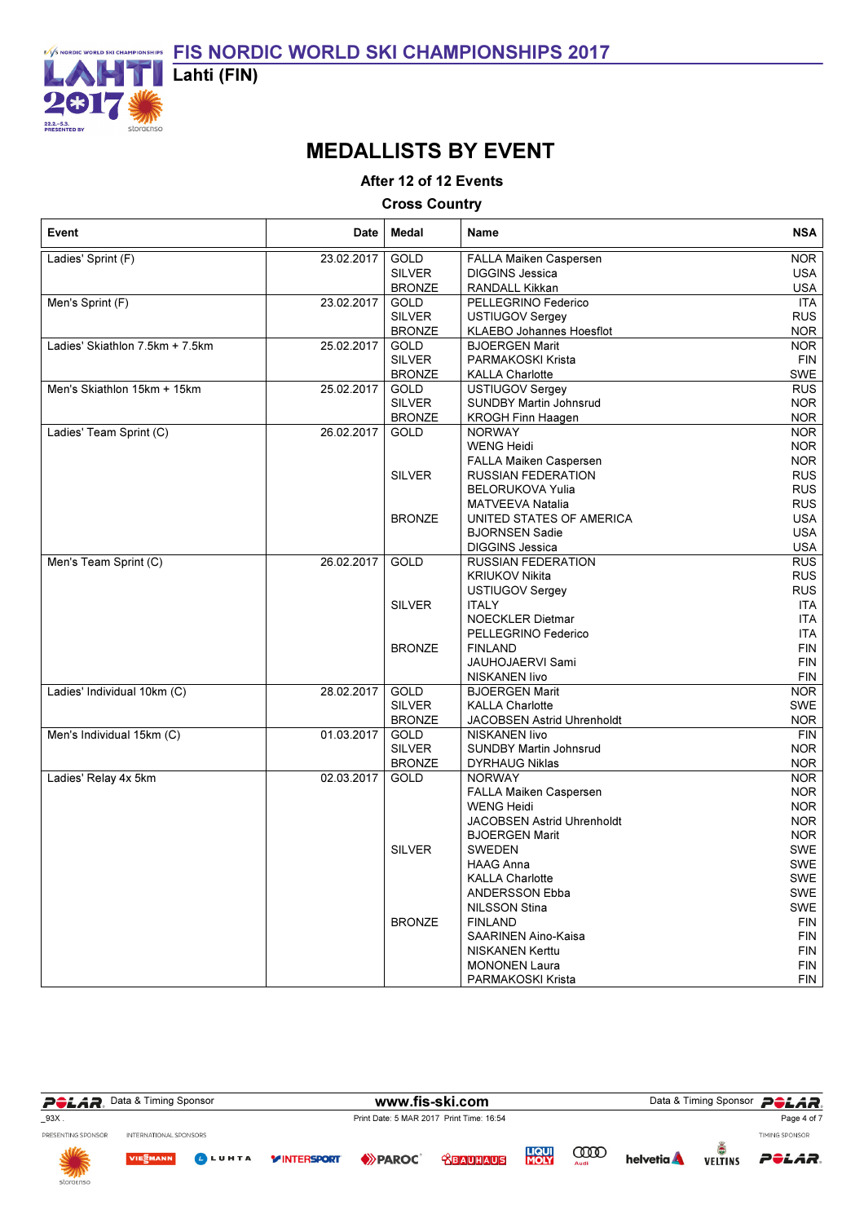

# MEDALLISTS BY EVENT

After 12 of 12 Events

Cross Country

| Event                           | Date       | Medal         | Name                          | <b>NSA</b> |
|---------------------------------|------------|---------------|-------------------------------|------------|
| Ladies' Sprint (F)              | 23.02.2017 | GOLD          | FALLA Maiken Caspersen        | <b>NOR</b> |
|                                 |            | <b>SILVER</b> | <b>DIGGINS Jessica</b>        | <b>USA</b> |
|                                 |            | <b>BRONZE</b> | RANDALL Kikkan                | <b>USA</b> |
| Men's Sprint (F)                | 23.02.2017 | <b>GOLD</b>   | PELLEGRINO Federico           | <b>ITA</b> |
|                                 |            | <b>SILVER</b> | USTIUGOV Sergey               | <b>RUS</b> |
|                                 |            | <b>BRONZE</b> | KLAEBO Johannes Hoesflot      | <b>NOR</b> |
| Ladies' Skiathlon 7.5km + 7.5km | 25.02.2017 | GOLD          | <b>BJOERGEN Marit</b>         | <b>NOR</b> |
|                                 |            | <b>SILVER</b> | PARMAKOSKI Krista             | <b>FIN</b> |
|                                 |            | <b>BRONZE</b> | <b>KALLA Charlotte</b>        | <b>SWE</b> |
| Men's Skiathlon 15km + 15km     | 25.02.2017 | GOLD          | USTIUGOV Sergey               | <b>RUS</b> |
|                                 |            | <b>SILVER</b> | <b>SUNDBY Martin Johnsrud</b> | <b>NOR</b> |
|                                 |            | <b>BRONZE</b> | KROGH Finn Haagen             | <b>NOR</b> |
| Ladies' Team Sprint (C)         | 26.02.2017 | GOLD          | <b>NORWAY</b>                 | <b>NOR</b> |
|                                 |            |               | WENG Heidi                    | <b>NOR</b> |
|                                 |            |               | FALLA Maiken Caspersen        | <b>NOR</b> |
|                                 |            | <b>SILVER</b> | <b>RUSSIAN FEDERATION</b>     | <b>RUS</b> |
|                                 |            |               | <b>BELORUKOVA Yulia</b>       | <b>RUS</b> |
|                                 |            |               | <b>MATVEEVA Natalia</b>       | <b>RUS</b> |
|                                 |            | <b>BRONZE</b> | UNITED STATES OF AMERICA      | <b>USA</b> |
|                                 |            |               | <b>BJORNSEN Sadie</b>         | <b>USA</b> |
|                                 |            |               | <b>DIGGINS Jessica</b>        | <b>USA</b> |
| Men's Team Sprint (C)           | 26.02.2017 | <b>GOLD</b>   | <b>RUSSIAN FEDERATION</b>     | <b>RUS</b> |
|                                 |            |               | KRIUKOV Nikita                | <b>RUS</b> |
|                                 |            |               | USTIUGOV Sergey               | <b>RUS</b> |
|                                 |            | <b>SILVER</b> | <b>ITALY</b>                  | <b>ITA</b> |
|                                 |            |               | <b>NOECKLER Dietmar</b>       | <b>ITA</b> |
|                                 |            |               | PELLEGRINO Federico           | <b>ITA</b> |
|                                 |            | <b>BRONZE</b> | <b>FINLAND</b>                | <b>FIN</b> |
|                                 |            |               | JAUHOJAERVI Sami              | <b>FIN</b> |
|                                 |            |               | NISKANEN livo                 | <b>FIN</b> |
| Ladies' Individual 10km (C)     | 28.02.2017 | GOLD          | <b>BJOERGEN Marit</b>         | <b>NOR</b> |
|                                 |            | <b>SILVER</b> | <b>KALLA Charlotte</b>        | SWE        |
|                                 |            | <b>BRONZE</b> | JACOBSEN Astrid Uhrenholdt    | <b>NOR</b> |
| Men's Individual 15km (C)       | 01.03.2017 | GOLD          | <b>NISKANEN livo</b>          | <b>FIN</b> |
|                                 |            | <b>SILVER</b> | <b>SUNDBY Martin Johnsrud</b> | NOR.       |
|                                 |            | <b>BRONZE</b> | <b>DYRHAUG Niklas</b>         | <b>NOR</b> |
| Ladies' Relay 4x 5km            | 02.03.2017 | GOLD          | <b>NORWAY</b>                 | <b>NOR</b> |
|                                 |            |               | FALLA Maiken Caspersen        | NOR.       |
|                                 |            |               | <b>WENG Heidi</b>             | <b>NOR</b> |
|                                 |            |               | JACOBSEN Astrid Uhrenholdt    | <b>NOR</b> |
|                                 |            |               | <b>BJOERGEN Marit</b>         | NOR.       |
|                                 |            | SILVER        | <b>SWEDEN</b>                 | <b>SWE</b> |
|                                 |            |               | <b>HAAG Anna</b>              | <b>SWE</b> |
|                                 |            |               | <b>KALLA Charlotte</b>        | SWE        |
|                                 |            |               | ANDERSSON Ebba                | SWE        |
|                                 |            |               | <b>NILSSON Stina</b>          | <b>SWE</b> |
|                                 |            | <b>BRONZE</b> | <b>FINLAND</b>                | <b>FIN</b> |
|                                 |            |               | <b>SAARINEN Aino-Kaisa</b>    | <b>FIN</b> |
|                                 |            |               | NISKANEN Kerttu               | FIN        |
|                                 |            |               | <b>MONONEN Laura</b>          | <b>FIN</b> |
|                                 |            |               | PARMAKOSKI Krista             | <b>FIN</b> |

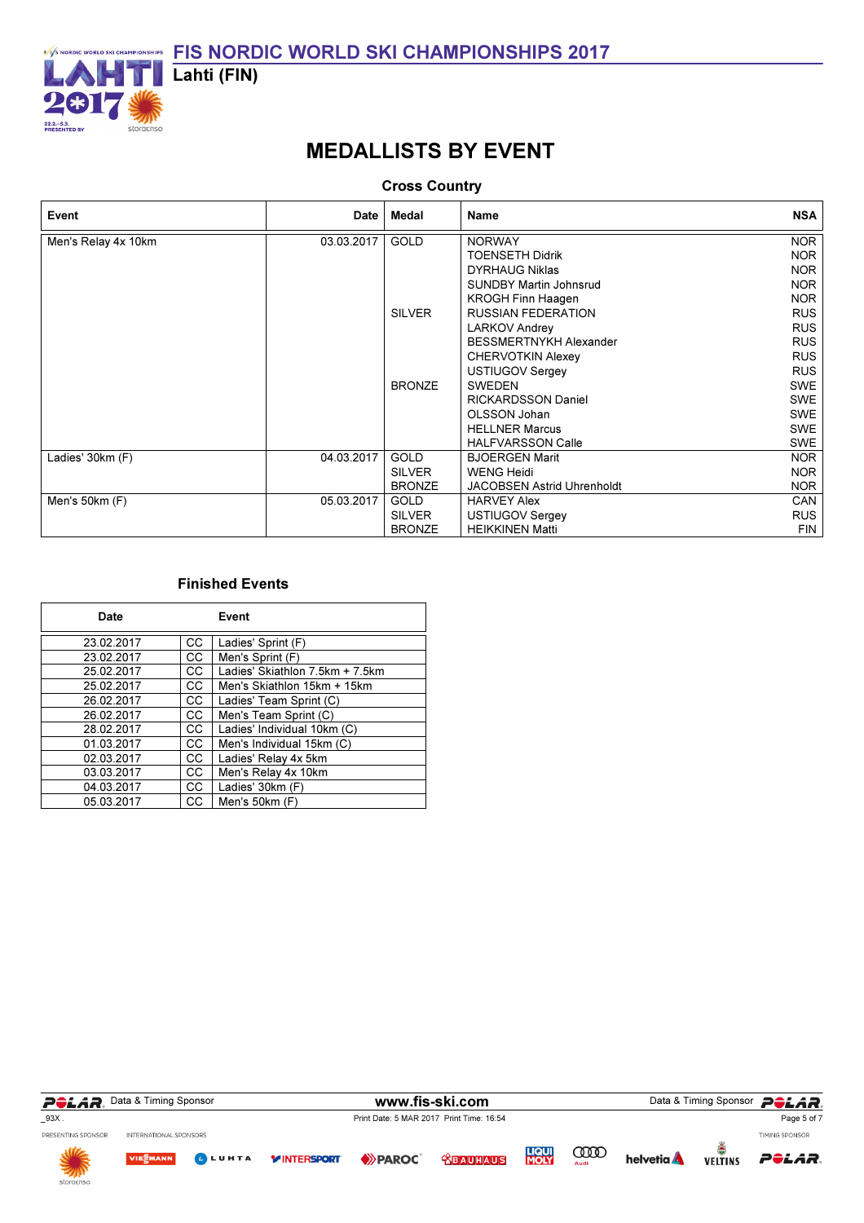

# MEDALLISTS BY EVENT

### Cross Country

| Event               | Date       | <b>Medal</b>  | <b>Name</b>                       | <b>NSA</b> |
|---------------------|------------|---------------|-----------------------------------|------------|
| Men's Relay 4x 10km | 03.03.2017 | <b>GOLD</b>   | <b>NORWAY</b>                     | <b>NOR</b> |
|                     |            |               | <b>TOENSETH Didrik</b>            | <b>NOR</b> |
|                     |            |               | <b>DYRHAUG Niklas</b>             | <b>NOR</b> |
|                     |            |               | <b>SUNDBY Martin Johnsrud</b>     | <b>NOR</b> |
|                     |            |               | <b>KROGH Finn Haagen</b>          | <b>NOR</b> |
|                     |            | <b>SILVER</b> | <b>RUSSIAN FEDERATION</b>         | <b>RUS</b> |
|                     |            |               | <b>LARKOV Andrey</b>              | <b>RUS</b> |
|                     |            |               | <b>BESSMERTNYKH Alexander</b>     | <b>RUS</b> |
|                     |            |               | <b>CHERVOTKIN Alexey</b>          | <b>RUS</b> |
|                     |            |               | USTIUGOV Sergey                   | <b>RUS</b> |
|                     |            | <b>BRONZE</b> | <b>SWEDEN</b>                     | <b>SWE</b> |
|                     |            |               | <b>RICKARDSSON Daniel</b>         | <b>SWE</b> |
|                     |            |               | OLSSON Johan                      | <b>SWE</b> |
|                     |            |               | <b>HELLNER Marcus</b>             | <b>SWE</b> |
|                     |            |               | <b>HALFVARSSON Calle</b>          | <b>SWE</b> |
| Ladies' 30km (F)    | 04.03.2017 | <b>GOLD</b>   | <b>BJOERGEN Marit</b>             | <b>NOR</b> |
|                     |            | <b>SILVER</b> | <b>WENG Heidi</b>                 | <b>NOR</b> |
|                     |            | <b>BRONZE</b> | <b>JACOBSEN Astrid Uhrenholdt</b> | <b>NOR</b> |
| Men's 50km (F)      | 05.03.2017 | <b>GOLD</b>   | <b>HARVEY Alex</b>                | <b>CAN</b> |
|                     |            | <b>SILVER</b> | USTIUGOV Sergey                   | <b>RUS</b> |
|                     |            | <b>BRONZE</b> | <b>HEIKKINEN Matti</b>            | <b>FIN</b> |

| Date       |     | Event                           |
|------------|-----|---------------------------------|
| 23.02.2017 | CС  | Ladies' Sprint (F)              |
| 23.02.2017 | СC  | Men's Sprint (F)                |
| 25.02.2017 | CC. | Ladies' Skiathlon 7.5km + 7.5km |
| 25.02.2017 | CC. | Men's Skiathlon 15km + 15km     |
| 26.02.2017 | CС  | Ladies' Team Sprint (C)         |
| 26.02.2017 | СC  | Men's Team Sprint (C)           |
| 28.02.2017 | CC. | Ladies' Individual 10km (C)     |
| 01.03.2017 | СC  | Men's Individual 15km (C)       |
| 02.03.2017 | CC. | Ladies' Relay 4x 5km            |
| 03.03.2017 | CС  | Men's Relay 4x 10km             |
| 04.03.2017 | CC. | Ladies' 30km (F)                |
| 05.03.2017 | CС  | Men's 50km (F)                  |

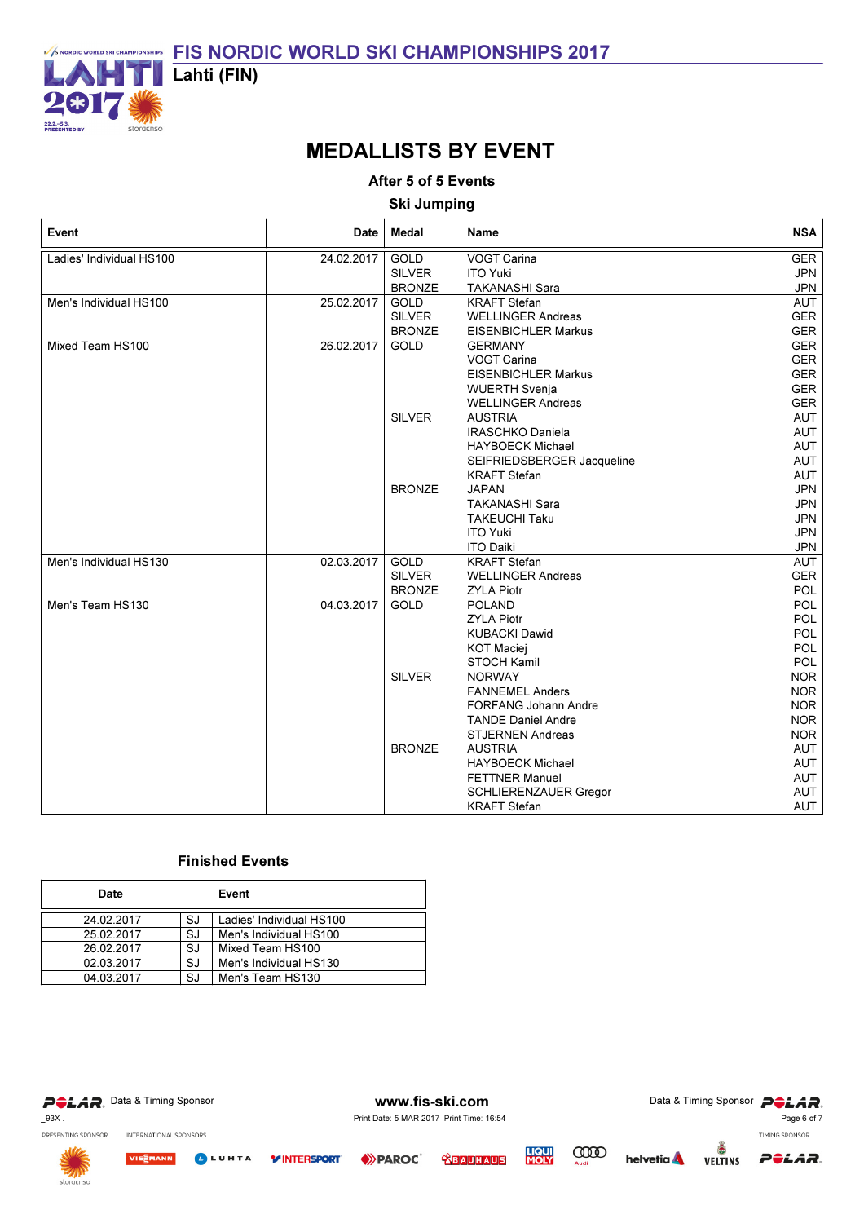

## MEDALLISTS BY EVENT

After 5 of 5 Events

Ski Jumping

| Event                    | Date $ $   | Medal         | Name                        | <b>NSA</b> |
|--------------------------|------------|---------------|-----------------------------|------------|
| Ladies' Individual HS100 | 24.02.2017 | GOLD          | <b>VOGT Carina</b>          | <b>GER</b> |
|                          |            | <b>SILVER</b> | <b>ITO Yuki</b>             | <b>JPN</b> |
|                          |            | <b>BRONZE</b> | <b>TAKANASHI Sara</b>       | <b>JPN</b> |
| Men's Individual HS100   | 25.02.2017 | <b>GOLD</b>   | <b>KRAFT Stefan</b>         | <b>AUT</b> |
|                          |            | <b>SILVER</b> | <b>WELLINGER Andreas</b>    | GER        |
|                          |            | <b>BRONZE</b> | <b>EISENBICHLER Markus</b>  | <b>GER</b> |
| Mixed Team HS100         | 26.02.2017 | GOLD          | <b>GERMANY</b>              | <b>GER</b> |
|                          |            |               | <b>VOGT Carina</b>          | GER        |
|                          |            |               | <b>EISENBICHLER Markus</b>  | <b>GER</b> |
|                          |            |               | <b>WUERTH Svenja</b>        | <b>GER</b> |
|                          |            |               | <b>WELLINGER Andreas</b>    | <b>GER</b> |
|                          |            | <b>SILVER</b> | <b>AUSTRIA</b>              | AUT        |
|                          |            |               | <b>IRASCHKO Daniela</b>     | AUT        |
|                          |            |               | <b>HAYBOECK Michael</b>     | AUT        |
|                          |            |               | SEIFRIEDSBERGER Jacqueline  | AUT        |
|                          |            |               | <b>KRAFT Stefan</b>         | AUT        |
|                          |            | <b>BRONZE</b> | <b>JAPAN</b>                | <b>JPN</b> |
|                          |            |               | <b>TAKANASHI Sara</b>       | <b>JPN</b> |
|                          |            |               | <b>TAKEUCHI Taku</b>        | <b>JPN</b> |
|                          |            |               | <b>ITO Yuki</b>             | <b>JPN</b> |
|                          |            |               | <b>ITO Daiki</b>            | <b>JPN</b> |
| Men's Individual HS130   | 02.03.2017 | <b>GOLD</b>   | <b>KRAFT</b> Stefan         | AUT        |
|                          |            | <b>SILVER</b> | <b>WELLINGER Andreas</b>    | <b>GER</b> |
|                          |            | <b>BRONZE</b> | <b>ZYLA Piotr</b>           | <b>POL</b> |
| Men's Team HS130         | 04.03.2017 | GOLD          | <b>POLAND</b>               | <b>POL</b> |
|                          |            |               | <b>ZYLA Piotr</b>           | <b>POL</b> |
|                          |            |               | <b>KUBACKI Dawid</b>        | <b>POL</b> |
|                          |            |               | <b>KOT Maciej</b>           | POL        |
|                          |            |               | <b>STOCH Kamil</b>          | <b>POL</b> |
|                          |            | <b>SILVER</b> | <b>NORWAY</b>               | <b>NOR</b> |
|                          |            |               | <b>FANNEMEL Anders</b>      | <b>NOR</b> |
|                          |            |               | <b>FORFANG Johann Andre</b> | <b>NOR</b> |
|                          |            |               | <b>TANDE Daniel Andre</b>   | <b>NOR</b> |
|                          |            |               | <b>STJERNEN Andreas</b>     | <b>NOR</b> |
|                          |            | <b>BRONZE</b> | <b>AUSTRIA</b>              | AUT        |
|                          |            |               | <b>HAYBOECK Michael</b>     | AUT        |
|                          |            |               | <b>FETTNER Manuel</b>       | AUT        |
|                          |            |               | SCHLIERENZAUER Gregor       | AUT        |
|                          |            |               | <b>KRAFT</b> Stefan         | AUT        |

| Date       |    | Event                    |
|------------|----|--------------------------|
| 24.02.2017 | SJ | Ladies' Individual HS100 |
| 25.02.2017 | SJ | Men's Individual HS100   |
| 26.02.2017 | SJ | Mixed Team HS100         |
| 02.03.2017 | SJ | Men's Individual HS130   |
| 04.03.2017 | SJ | Men's Team HS130         |

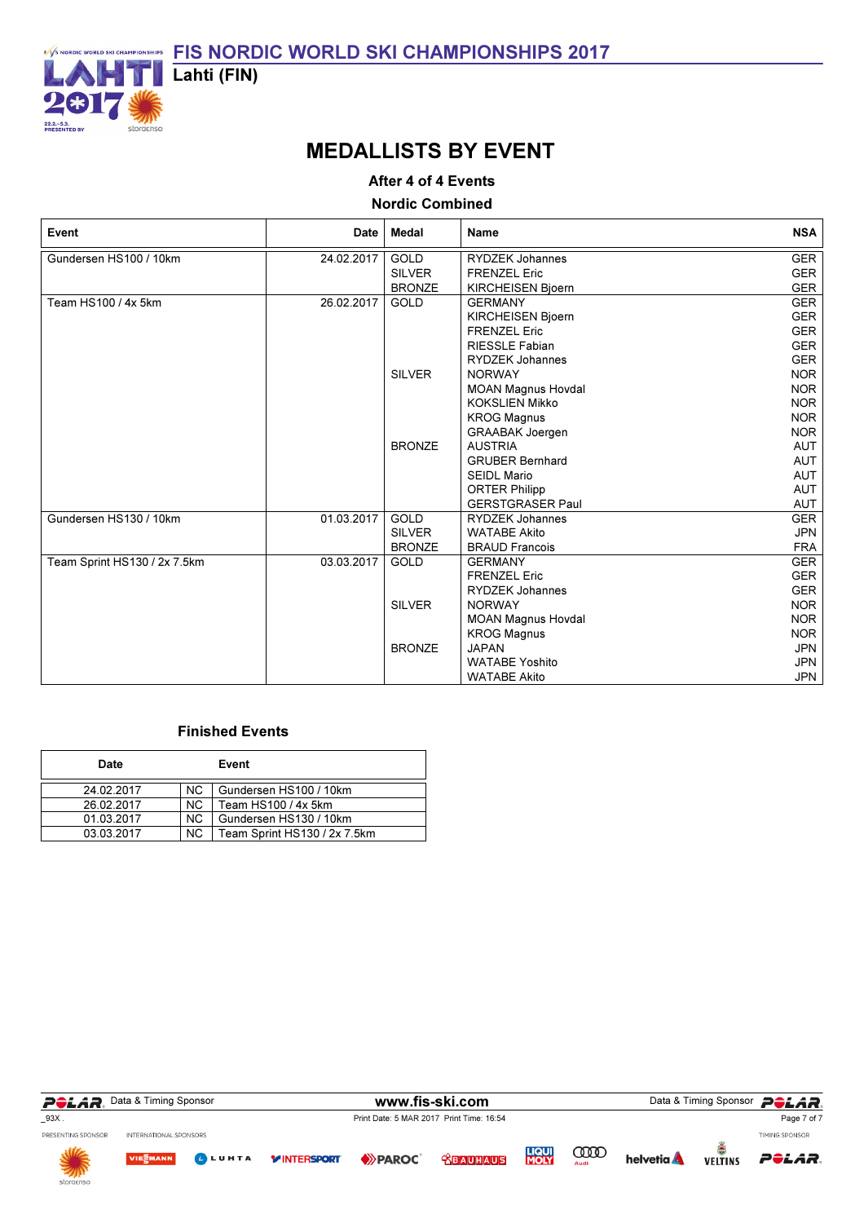

## MEDALLISTS BY EVENT

#### After 4 of 4 Events

#### Nordic Combined

| Event                        | Date       | Medal         | <b>Name</b>               | <b>NSA</b> |
|------------------------------|------------|---------------|---------------------------|------------|
| Gundersen HS100 / 10km       | 24.02.2017 | <b>GOLD</b>   | <b>RYDZEK Johannes</b>    | <b>GER</b> |
|                              |            | <b>SILVER</b> | <b>FRENZEL Eric</b>       | <b>GER</b> |
|                              |            | <b>BRONZE</b> | <b>KIRCHEISEN Bjoern</b>  | <b>GER</b> |
| Team HS100 / 4x 5km          | 26.02.2017 | <b>GOLD</b>   | <b>GERMANY</b>            | <b>GER</b> |
|                              |            |               | <b>KIRCHEISEN Bjoern</b>  | <b>GER</b> |
|                              |            |               | <b>FRENZEL Eric</b>       | <b>GER</b> |
|                              |            |               | RIESSLE Fabian            | <b>GER</b> |
|                              |            |               | <b>RYDZEK Johannes</b>    | <b>GER</b> |
|                              |            | <b>SILVER</b> | <b>NORWAY</b>             | <b>NOR</b> |
|                              |            |               | <b>MOAN Magnus Hovdal</b> | <b>NOR</b> |
|                              |            |               | <b>KOKSLIEN Mikko</b>     | <b>NOR</b> |
|                              |            |               | <b>KROG Magnus</b>        | <b>NOR</b> |
|                              |            |               | <b>GRAABAK Joergen</b>    | <b>NOR</b> |
|                              |            | <b>BRONZE</b> | <b>AUSTRIA</b>            | <b>AUT</b> |
|                              |            |               | <b>GRUBER Bernhard</b>    | AUT        |
|                              |            |               | <b>SEIDL Mario</b>        | AUT        |
|                              |            |               | <b>ORTER Philipp</b>      | <b>AUT</b> |
|                              |            |               | <b>GERSTGRASER Paul</b>   | AUT        |
| Gundersen HS130 / 10km       | 01.03.2017 | GOLD          | <b>RYDZEK Johannes</b>    | <b>GER</b> |
|                              |            | <b>SILVER</b> | <b>WATABE Akito</b>       | <b>JPN</b> |
|                              |            | <b>BRONZE</b> | <b>BRAUD Francois</b>     | <b>FRA</b> |
| Team Sprint HS130 / 2x 7.5km | 03.03.2017 | <b>GOLD</b>   | <b>GERMANY</b>            | <b>GER</b> |
|                              |            |               | <b>FRENZEL Eric</b>       | <b>GER</b> |
|                              |            |               | <b>RYDZEK Johannes</b>    | <b>GER</b> |
|                              |            | <b>SILVER</b> | <b>NORWAY</b>             | <b>NOR</b> |
|                              |            |               | <b>MOAN Magnus Hovdal</b> | <b>NOR</b> |
|                              |            |               | <b>KROG Magnus</b>        | <b>NOR</b> |
|                              |            | <b>BRONZE</b> | <b>JAPAN</b>              | <b>JPN</b> |
|                              |            |               | <b>WATABE Yoshito</b>     | <b>JPN</b> |
|                              |            |               | <b>WATABE Akito</b>       | <b>JPN</b> |

| Date       |     | Event                        |
|------------|-----|------------------------------|
| 24.02.2017 | NC. | Gundersen HS100 / 10km       |
| 26.02.2017 | NC. | Team HS100 / 4x 5km          |
| 01.03.2017 | NC. | Gundersen HS130 / 10km       |
| 03.03.2017 | NC. | Team Sprint HS130 / 2x 7.5km |

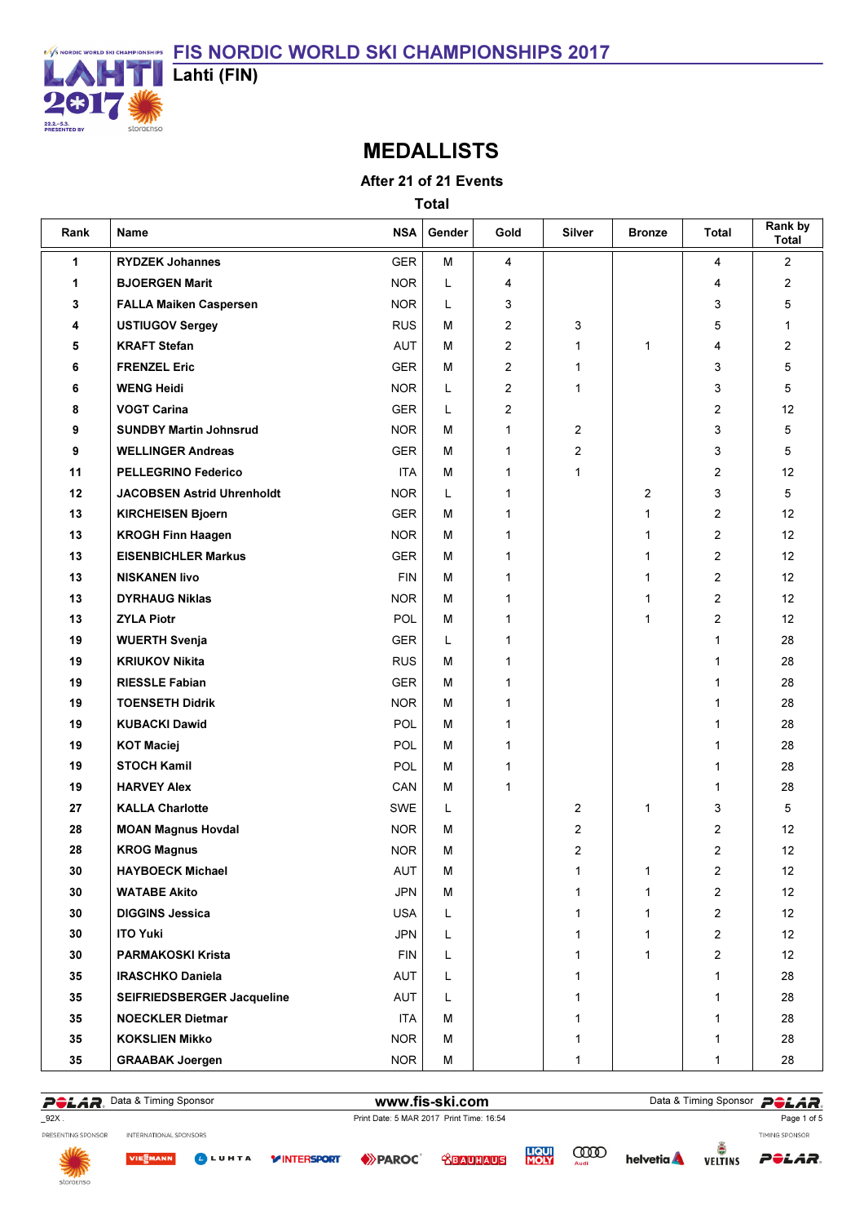

### MEDALLISTS

After 21 of 21 Events

Total

| Rank | Name                              | <b>NSA</b> | Gender | Gold           | Silver       | <b>Bronze</b> | Total          | Rank by<br>Total  |
|------|-----------------------------------|------------|--------|----------------|--------------|---------------|----------------|-------------------|
| 1    | <b>RYDZEK Johannes</b>            | <b>GER</b> | M      | 4              |              |               | 4              | $\overline{2}$    |
| 1    | <b>BJOERGEN Marit</b>             | <b>NOR</b> | L      | 4              |              |               | 4              | 2                 |
| 3    | <b>FALLA Maiken Caspersen</b>     | <b>NOR</b> | L      | 3              |              |               | 3              | 5                 |
| 4    | <b>USTIUGOV Sergey</b>            | <b>RUS</b> | М      | 2              | 3            |               | 5              | $\mathbf{1}$      |
| 5    | <b>KRAFT Stefan</b>               | AUT        | M      | $\overline{2}$ | 1            | 1             | 4              | $\overline{2}$    |
| 6    | <b>FRENZEL Eric</b>               | <b>GER</b> | М      | 2              | 1            |               | 3              | 5                 |
| 6    | <b>WENG Heidi</b>                 | <b>NOR</b> | L      | 2              | 1            |               | 3              | 5                 |
| 8    | <b>VOGT Carina</b>                | <b>GER</b> | L      | 2              |              |               | 2              | 12                |
| 9    | <b>SUNDBY Martin Johnsrud</b>     | <b>NOR</b> | М      | 1              | 2            |               | 3              | 5                 |
| 9    | <b>WELLINGER Andreas</b>          | GER        | M      | 1              | 2            |               | 3              | 5                 |
| 11   | <b>PELLEGRINO Federico</b>        | <b>ITA</b> | М      | 1              | 1            |               | 2              | $12 \overline{ }$ |
| 12   | <b>JACOBSEN Astrid Uhrenholdt</b> | <b>NOR</b> | Г      | 1              |              | 2             | 3              | 5                 |
| 13   | <b>KIRCHEISEN Bjoern</b>          | <b>GER</b> | М      | 1              |              | $\mathbf{1}$  | 2              | 12                |
| 13   | <b>KROGH Finn Haagen</b>          | <b>NOR</b> | М      | 1              |              | 1             | 2              | 12                |
| 13   | <b>EISENBICHLER Markus</b>        | GER        | M      | 1              |              | $\mathbf{1}$  | 2              | 12                |
| 13   | <b>NISKANEN livo</b>              | <b>FIN</b> | М      | 1              |              | 1             | 2              | 12                |
| 13   | <b>DYRHAUG Niklas</b>             | <b>NOR</b> | М      | 1              |              | 1             | 2              | 12                |
| 13   | <b>ZYLA Piotr</b>                 | <b>POL</b> | М      | 1              |              | $\mathbf{1}$  | 2              | 12                |
| 19   | <b>WUERTH Svenja</b>              | <b>GER</b> | Г      | 1              |              |               | 1              | 28                |
| 19   | <b>KRIUKOV Nikita</b>             | <b>RUS</b> | М      | 1              |              |               | 1              | 28                |
| 19   | <b>RIESSLE Fabian</b>             | GER        | М      | 1              |              |               | 1              | 28                |
| 19   | <b>TOENSETH Didrik</b>            | <b>NOR</b> | м      | 1              |              |               | 1              | 28                |
| 19   | <b>KUBACKI Dawid</b>              | <b>POL</b> | M      | 1              |              |               | 1              | 28                |
| 19   | <b>KOT Maciej</b>                 | POL        | М      | $\mathbf{1}$   |              |               | 1              | 28                |
| 19   | <b>STOCH Kamil</b>                | POL        | М      | 1              |              |               | 1              | 28                |
| 19   | <b>HARVEY Alex</b>                | CAN        | М      | 1              |              |               | 1              | 28                |
| 27   | <b>KALLA Charlotte</b>            | SWE        | L      |                | 2            | 1             | 3              | 5                 |
| 28   | <b>MOAN Magnus Hovdal</b>         | <b>NOR</b> | М      |                | 2            |               | 2              | 12                |
| 28   | <b>KROG Magnus</b>                | <b>NOR</b> | М      |                | 2            |               | 2              | 12                |
| 30   | <b>HAYBOECK Michael</b>           | AUT        | M      |                | 1            | 1             | 2              | 12                |
| 30   | <b>WATABE Akito</b>               | <b>JPN</b> | м      |                | 1            | $\mathbf{1}$  | $\overline{2}$ | 12                |
| 30   | <b>DIGGINS Jessica</b>            | <b>USA</b> | L      |                | 1            | $\mathbf{1}$  | 2              | 12                |
| 30   | <b>ITO Yuki</b>                   | <b>JPN</b> | L      |                | 1            | $\mathbf{1}$  | 2              | 12                |
| 30   | <b>PARMAKOSKI Krista</b>          | <b>FIN</b> | Г      |                | $\mathbf{1}$ | $\mathbf{1}$  | $\overline{2}$ | 12                |
| 35   | <b>IRASCHKO Daniela</b>           | AUT        | L      |                | 1            |               | 1              | 28                |
| 35   | SEIFRIEDSBERGER Jacqueline        | AUT        | L      |                | 1            |               | 1              | 28                |
| 35   | <b>NOECKLER Dietmar</b>           | <b>ITA</b> | М      |                | 1            |               | 1              | 28                |
| 35   | <b>KOKSLIEN Mikko</b>             | <b>NOR</b> | М      |                | 1            |               | 1              | 28                |
| 35   | <b>GRAABAK Joergen</b>            | <b>NOR</b> | M      |                | 1            |               | 1              | 28                |

POLAR. Data & Timing Sponsor **Dollars and The Sponsor POLAR**.

INTERNATIONAL SPONSORS

\_92X . Print Date: 5 MAR 2017 Print Time: 16:54

Page 1 of 5

PRESENTING SPONSOR



**LIQUI**<br>MOLY **<u> CBAUHAUS</u>** 

**COOD** 

**helvetia** 



TIMING SPONSOR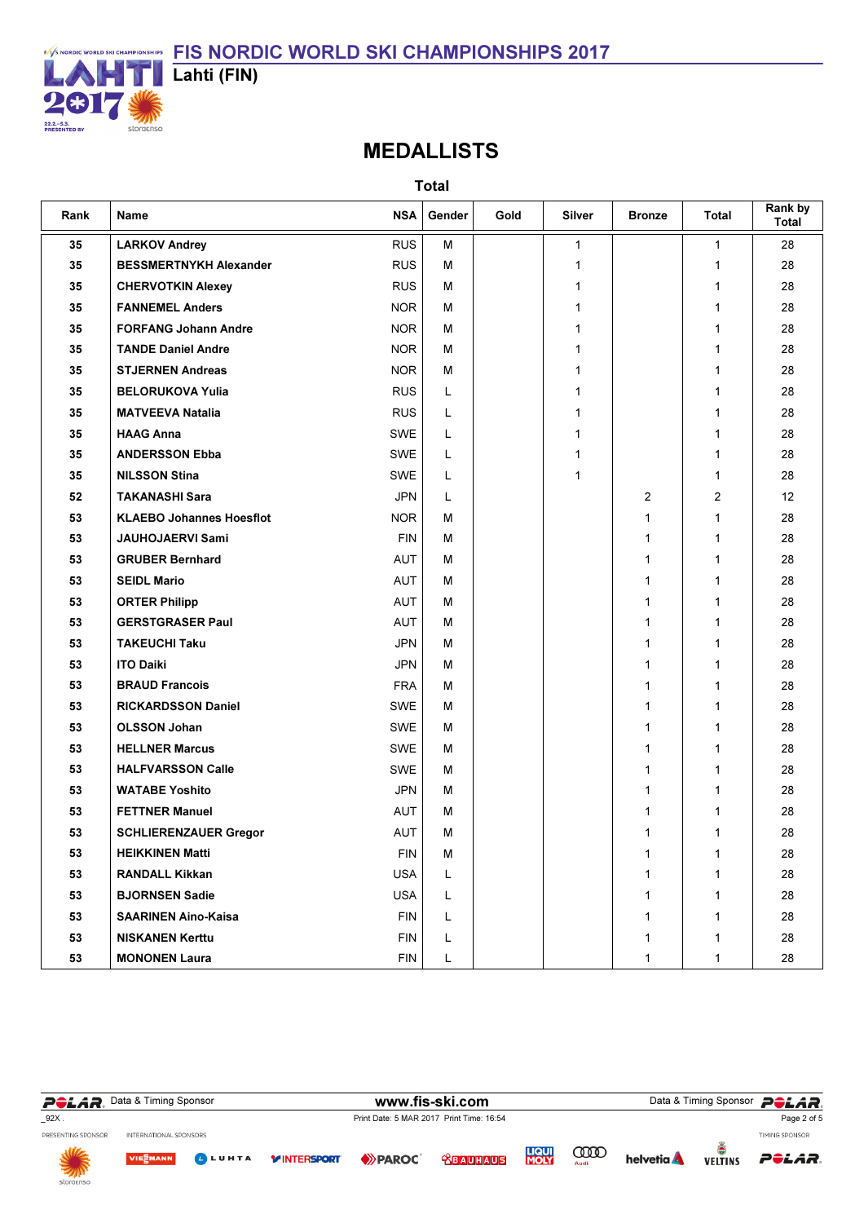

# MEDALLISTS

| Rank | Name                            | <b>NSA</b>  | Gender | Gold | <b>Silver</b> | <b>Bronze</b> | Total | Rank by<br>Total |
|------|---------------------------------|-------------|--------|------|---------------|---------------|-------|------------------|
| 35   | <b>LARKOV Andrey</b>            | <b>RUS</b>  | M      |      | 1             |               | 1     | 28               |
| 35   | <b>BESSMERTNYKH Alexander</b>   | <b>RUS</b>  | M      |      | 1             |               | 1     | 28               |
| 35   | <b>CHERVOTKIN Alexey</b>        | <b>RUS</b>  | м      |      | 1             |               | 1     | 28               |
| 35   | <b>FANNEMEL Anders</b>          | <b>NOR</b>  | м      |      | 1             |               | 1     | 28               |
| 35   | <b>FORFANG Johann Andre</b>     | <b>NOR</b>  | м      |      | 1             |               | 1     | 28               |
| 35   | <b>TANDE Daniel Andre</b>       | <b>NOR</b>  | M      |      | 1             |               | 1     | 28               |
| 35   | <b>STJERNEN Andreas</b>         | <b>NOR</b>  | м      |      | 1             |               | 1     | 28               |
| 35   | <b>BELORUKOVA Yulia</b>         | <b>RUS</b>  | Г      |      | 1             |               | 1     | 28               |
| 35   | <b>MATVEEVA Natalia</b>         | <b>RUS</b>  | L      |      | 1             |               | 1     | 28               |
| 35   | <b>HAAG Anna</b>                | SWE         | L      |      | 1             |               | 1     | 28               |
| 35   | <b>ANDERSSON Ebba</b>           | SWE         | L      |      | 1             |               | 1     | 28               |
| 35   | <b>NILSSON Stina</b>            | SWE         | L      |      | 1             |               | 1     | 28               |
| 52   | <b>TAKANASHI Sara</b>           | <b>JPN</b>  | L      |      |               | 2             | 2     | 12               |
| 53   | <b>KLAEBO Johannes Hoesflot</b> | <b>NOR</b>  | м      |      |               | 1             | 1     | 28               |
| 53   | JAUHOJAERVI Sami                | <b>FIN</b>  | м      |      |               | 1             | 1     | 28               |
| 53   | <b>GRUBER Bernhard</b>          | <b>AUT</b>  | м      |      |               | 1             | 1     | 28               |
| 53   | <b>SEIDL Mario</b>              | AUT         | м      |      |               | 1             | 1     | 28               |
| 53   | <b>ORTER Philipp</b>            | <b>AUT</b>  | м      |      |               | 1             | 1     | 28               |
| 53   | <b>GERSTGRASER Paul</b>         | AUT         | м      |      |               | $\mathbf{1}$  | 1     | 28               |
| 53   | <b>TAKEUCHI Taku</b>            | <b>JPN</b>  | м      |      |               | 1             | 1     | 28               |
| 53   | <b>ITO Daiki</b>                | <b>JPN</b>  | м      |      |               | $\mathbf{1}$  | 1     | 28               |
| 53   | <b>BRAUD Francois</b>           | <b>FRA</b>  | M      |      |               | $\mathbf{1}$  | 1     | 28               |
| 53   | <b>RICKARDSSON Daniel</b>       | SWE         | м      |      |               | 1             | 1     | 28               |
| 53   | <b>OLSSON Johan</b>             | SWE         | M      |      |               | 1             | 1     | 28               |
| 53   | <b>HELLNER Marcus</b>           | SWE         | м      |      |               | $\mathbf{1}$  | 1     | 28               |
| 53   | <b>HALFVARSSON Calle</b>        | SWE         | м      |      |               | $\mathbf{1}$  | 1     | 28               |
| 53   | <b>WATABE Yoshito</b>           | <b>JPN</b>  | м      |      |               | $\mathbf{1}$  | 1     | 28               |
| 53   | <b>FETTNER Manuel</b>           | AUT         | м      |      |               | 1             | 1     | 28               |
| 53   | <b>SCHLIERENZAUER Gregor</b>    | <b>AUT</b>  | м      |      |               | 1             | 1     | 28               |
| 53   | <b>HEIKKINEN Matti</b>          | ${\sf FIN}$ | М      |      |               | 1             | 1     | 28               |
| 53   | <b>RANDALL Kikkan</b>           | <b>USA</b>  | L      |      |               | 1             | 1     | 28               |
| 53   | <b>BJORNSEN Sadie</b>           | <b>USA</b>  | L      |      |               | $\mathbf{1}$  | 1     | 28               |
| 53   | <b>SAARINEN Aino-Kaisa</b>      | <b>FIN</b>  | L      |      |               | 1             | 1     | 28               |
| 53   | <b>NISKANEN Kerttu</b>          | <b>FIN</b>  | Г      |      |               | $\mathbf{1}$  | 1     | 28               |
| 53   | <b>MONONEN Laura</b>            | <b>FIN</b>  | L      |      |               | 1             | 1     | 28               |

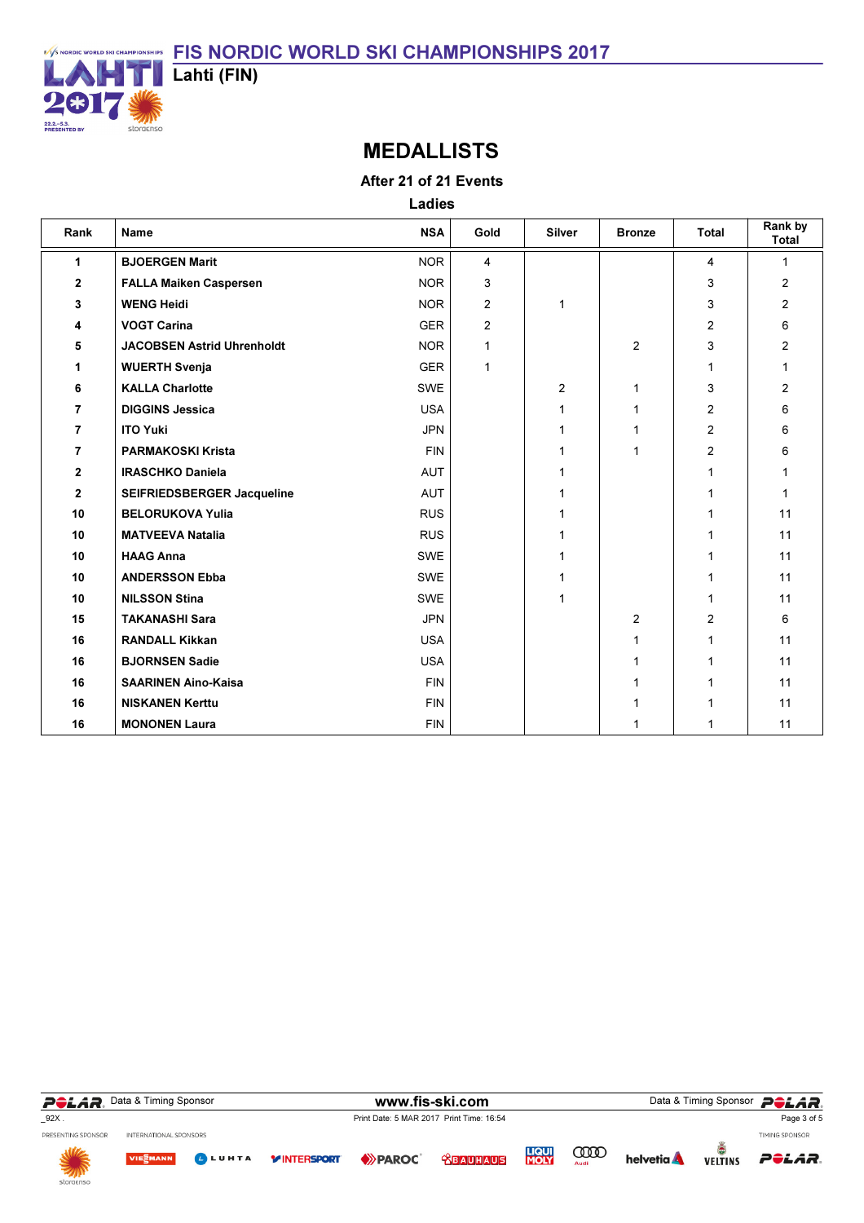

### MEDALLISTS

### After 21 of 21 Events

Ladies

| Rank           | <b>Name</b>                       | <b>NSA</b> | Gold           | <b>Silver</b>  | <b>Bronze</b>  | <b>Total</b>   | Rank by<br><b>Total</b> |
|----------------|-----------------------------------|------------|----------------|----------------|----------------|----------------|-------------------------|
| $\mathbf{1}$   | <b>BJOERGEN Marit</b>             | <b>NOR</b> | 4              |                |                | 4              | 1                       |
| $\mathbf{2}$   | <b>FALLA Maiken Caspersen</b>     | <b>NOR</b> | 3              |                |                | 3              | 2                       |
| 3              | <b>WENG Heidi</b>                 | <b>NOR</b> | $\overline{2}$ | 1              |                | 3              | 2                       |
| 4              | <b>VOGT Carina</b>                | <b>GER</b> | $\overline{2}$ |                |                | $\overline{2}$ | 6                       |
| 5              | <b>JACOBSEN Astrid Uhrenholdt</b> | <b>NOR</b> | 1              |                | $\overline{2}$ | 3              | $\overline{c}$          |
| 1              | <b>WUERTH Svenja</b>              | <b>GER</b> | 1              |                |                | 1              |                         |
| 6              | <b>KALLA Charlotte</b>            | <b>SWE</b> |                | $\overline{2}$ | 1              | 3              | $\overline{c}$          |
| $\overline{7}$ | <b>DIGGINS Jessica</b>            | <b>USA</b> |                | 1              | 1              | $\overline{2}$ | 6                       |
| $\overline{7}$ | <b>ITO Yuki</b>                   | <b>JPN</b> |                | 1              | 1              | $\overline{2}$ | 6                       |
| $\overline{7}$ | <b>PARMAKOSKI Krista</b>          | <b>FIN</b> |                | 1              | 1              | $\overline{2}$ | 6                       |
| $\mathbf{2}$   | <b>IRASCHKO Daniela</b>           | <b>AUT</b> |                | 1              |                | 1              |                         |
| $\mathbf{2}$   | SEIFRIEDSBERGER Jacqueline        | AUT        |                | 1              |                | 1              |                         |
| 10             | <b>BELORUKOVA Yulia</b>           | <b>RUS</b> |                | 1              |                |                | 11                      |
| 10             | <b>MATVEEVA Natalia</b>           | <b>RUS</b> |                | $\mathbf{1}$   |                |                | 11                      |
| 10             | <b>HAAG Anna</b>                  | SWE        |                | 1              |                |                | 11                      |
| 10             | <b>ANDERSSON Ebba</b>             | SWE        |                | $\mathbf{1}$   |                |                | 11                      |
| 10             | <b>NILSSON Stina</b>              | SWE        |                | $\mathbf{1}$   |                | 1              | 11                      |
| 15             | <b>TAKANASHI Sara</b>             | <b>JPN</b> |                |                | 2              | $\overline{2}$ | 6                       |
| 16             | <b>RANDALL Kikkan</b>             | <b>USA</b> |                |                |                | 1              | 11                      |
| 16             | <b>BJORNSEN Sadie</b>             | <b>USA</b> |                |                |                | 1              | 11                      |
| 16             | <b>SAARINEN Aino-Kaisa</b>        | <b>FIN</b> |                |                |                | 1              | 11                      |
| 16             | <b>NISKANEN Kerttu</b>            | <b>FIN</b> |                |                |                | 1              | 11                      |
| 16             | <b>MONONEN Laura</b>              | <b>FIN</b> |                |                |                | 1              | 11                      |

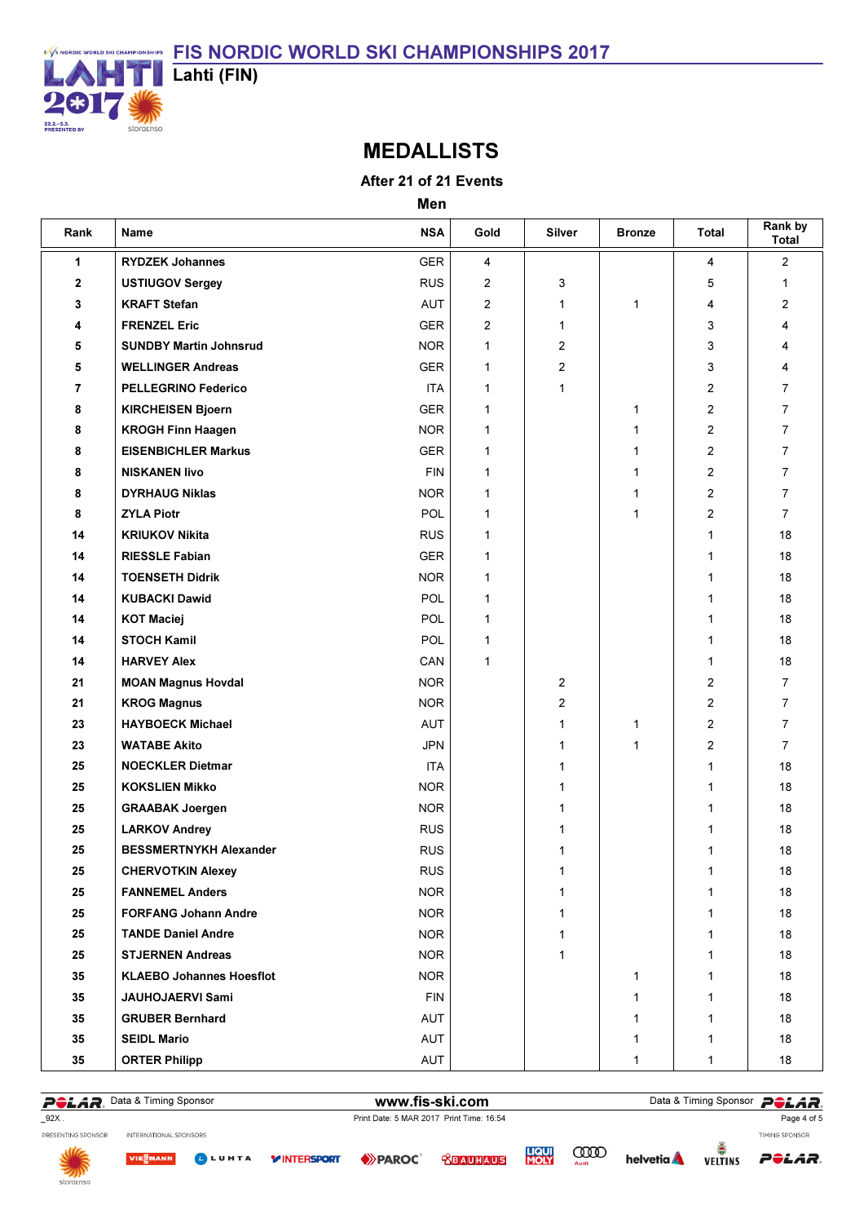

### MEDALLISTS

After 21 of 21 Events

Men

| Rank         | Name                            | <b>NSA</b> | Gold           | <b>Silver</b>  | <b>Bronze</b> | <b>Total</b>   | Rank by<br><b>Total</b> |
|--------------|---------------------------------|------------|----------------|----------------|---------------|----------------|-------------------------|
| 1            | <b>RYDZEK Johannes</b>          | <b>GER</b> | 4              |                |               | 4              | $\overline{2}$          |
| $\mathbf{2}$ | <b>USTIUGOV Sergey</b>          | <b>RUS</b> | $\overline{2}$ | 3              |               | 5              | $\mathbf{1}$            |
| 3            | <b>KRAFT Stefan</b>             | <b>AUT</b> | $\overline{2}$ | 1              | 1             | 4              | 2                       |
| 4            | <b>FRENZEL Eric</b>             | <b>GER</b> | $\overline{2}$ | 1              |               | 3              | 4                       |
| 5            | <b>SUNDBY Martin Johnsrud</b>   | <b>NOR</b> | 1              | $\overline{2}$ |               | 3              | 4                       |
| 5            | <b>WELLINGER Andreas</b>        | <b>GER</b> | 1              | $\mathbf{2}$   |               | 3              | 4                       |
| 7            | <b>PELLEGRINO Federico</b>      | <b>ITA</b> | 1              | 1              |               | 2              | $\overline{7}$          |
| 8            | <b>KIRCHEISEN Bjoern</b>        | <b>GER</b> | 1              |                | 1             | 2              | $\overline{7}$          |
| 8            | <b>KROGH Finn Haagen</b>        | <b>NOR</b> | 1              |                | $\mathbf{1}$  | 2              | $\overline{7}$          |
| 8            | <b>EISENBICHLER Markus</b>      | <b>GER</b> | 1              |                | 1             | $\overline{2}$ | $\overline{7}$          |
| 8            | <b>NISKANEN livo</b>            | <b>FIN</b> | 1              |                | $\mathbf{1}$  | $\overline{2}$ | $\overline{7}$          |
| 8            | <b>DYRHAUG Niklas</b>           | <b>NOR</b> | 1              |                | 1             | $\overline{2}$ | $\overline{7}$          |
| 8            | <b>ZYLA Piotr</b>               | <b>POL</b> | 1              |                | 1             | 2              | $\overline{7}$          |
| 14           | <b>KRIUKOV Nikita</b>           | <b>RUS</b> | 1              |                |               | $\mathbf 1$    | 18                      |
| 14           | <b>RIESSLE Fabian</b>           | <b>GER</b> | 1              |                |               | 1              | 18                      |
| 14           | <b>TOENSETH Didrik</b>          | <b>NOR</b> | 1              |                |               | 1              | 18                      |
| 14           | <b>KUBACKI Dawid</b>            | POL        | 1              |                |               | 1              | 18                      |
| 14           | <b>KOT Maciej</b>               | POL        | 1              |                |               | 1              | 18                      |
| 14           | <b>STOCH Kamil</b>              | POL        | 1              |                |               | 1              | 18                      |
| 14           | <b>HARVEY Alex</b>              | CAN        | 1              |                |               | 1              | 18                      |
| 21           | <b>MOAN Magnus Hovdal</b>       | <b>NOR</b> |                | 2              |               | 2              | $\overline{7}$          |
| 21           | <b>KROG Magnus</b>              | <b>NOR</b> |                | 2              |               | 2              | $\overline{7}$          |
| 23           | <b>HAYBOECK Michael</b>         | <b>AUT</b> |                | 1              | 1             | 2              | $\overline{7}$          |
| 23           | <b>WATABE Akito</b>             | <b>JPN</b> |                | $\mathbf{1}$   | 1             | 2              | $\overline{7}$          |
| 25           | <b>NOECKLER Dietmar</b>         | <b>ITA</b> |                | 1              |               | $\mathbf 1$    | 18                      |
| 25           | <b>KOKSLIEN Mikko</b>           | <b>NOR</b> |                | 1              |               | 1              | 18                      |
| 25           | <b>GRAABAK Joergen</b>          | <b>NOR</b> |                | 1              |               | 1              | 18                      |
| 25           | <b>LARKOV Andrey</b>            | <b>RUS</b> |                | 1              |               | 1              | 18                      |
| 25           | <b>BESSMERTNYKH Alexander</b>   | <b>RUS</b> |                | 1              |               | 1              | 18                      |
| ${\bf 25}$   | <b>CHERVOTKIN Alexey</b>        | <b>RUS</b> |                | 1              |               | 1              | $18\,$                  |
| 25           | <b>FANNEMEL Anders</b>          | <b>NOR</b> |                | $\mathbf{1}$   |               | $\mathbf 1$    | 18                      |
| 25           | <b>FORFANG Johann Andre</b>     | <b>NOR</b> |                | 1              |               | 1              | 18                      |
| 25           | <b>TANDE Daniel Andre</b>       | <b>NOR</b> |                | $\mathbf{1}$   |               | 1              | 18                      |
| 25           | <b>STJERNEN Andreas</b>         | <b>NOR</b> |                | $\mathbf{1}$   |               | 1              | 18                      |
| 35           | <b>KLAEBO Johannes Hoesflot</b> | <b>NOR</b> |                |                | 1             | 1              | 18                      |
| 35           | JAUHOJAERVI Sami                | <b>FIN</b> |                |                | 1             | 1              | 18                      |
| 35           | <b>GRUBER Bernhard</b>          | AUT        |                |                | 1             | 1              | 18                      |
| 35           | <b>SEIDL Mario</b>              | AUT        |                |                | 1             | 1              | 18                      |
| 35           | <b>ORTER Philipp</b>            | AUT        |                |                | $\mathbf{1}$  | 1              | 18                      |

POLAR. Data & Timing Sponsor **Dollars and The Sponsor POLAR**.

Page 4 of 5



INTERNATIONAL SPONSORS

VIESMANN LUHTA

**EXPARCE YINTERSPORT** 

**LIQUI**<br>MOLY **<u> CBAUHAUS</u>** 

**COOD** 

**helvetia** 

ĕ POLAR. **VELTINS** 

TIMING SPONSOR